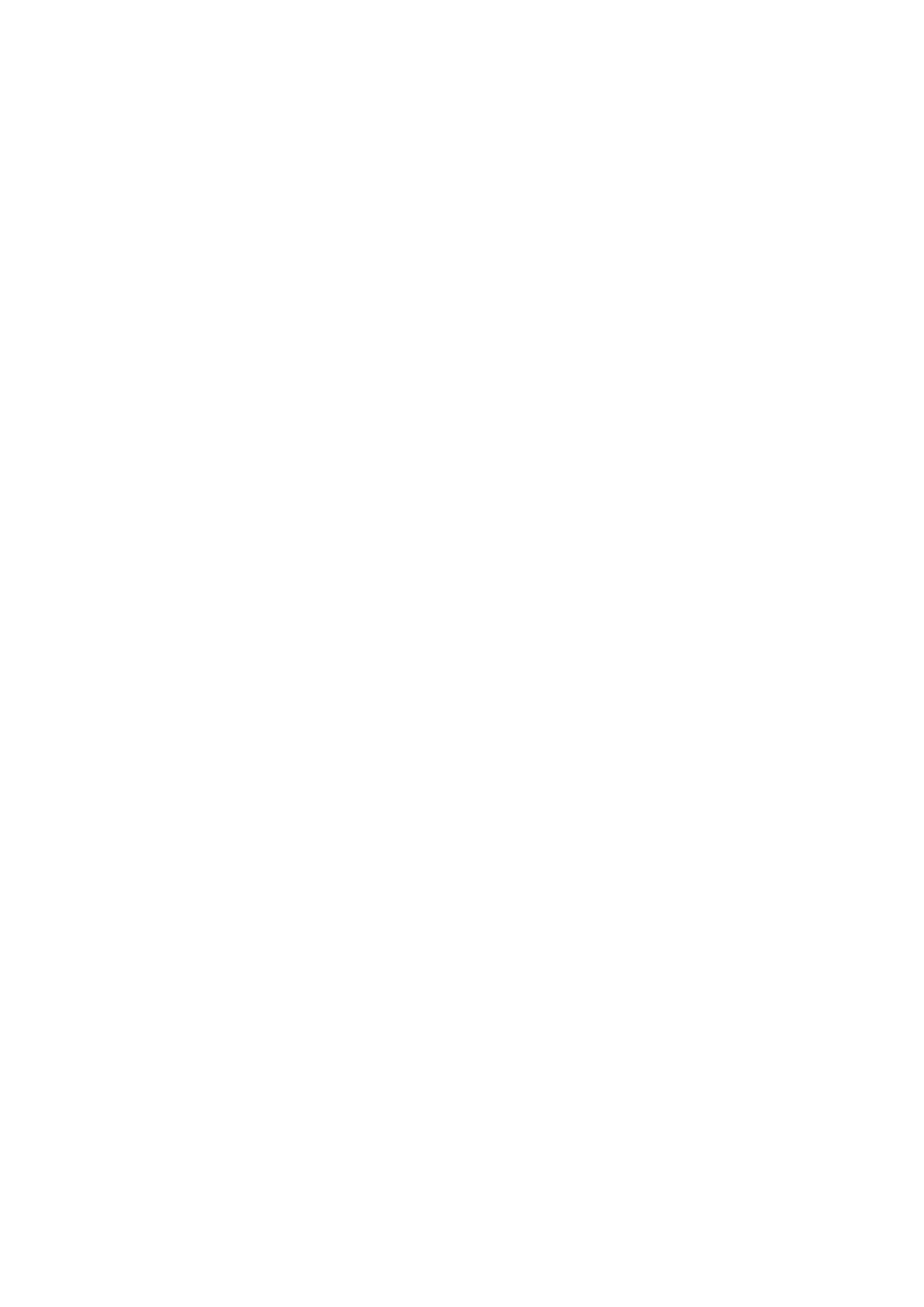# **UNIT 4 : THE MAURYAN EMPIRE: CHANDRAGUPTA MAURYA AND ASOKA-CONQUEST AND ADMINISTRATION**

#### **Structure**

- 4.0 Objectives
- 4.1 Introduction
- 4.2 Origin of Mauryan Rule and Chadragupta Maurya
- 4.3 Asoka Maurya
	- 4.3.1 The Kalinga War
- 4.4 Central Administration
	- 4.4.1 The King
	- 4.4.2 Council of Ministers
	- 4.4.3 City Administration
	- 4.4.4 Army
	- 4.4.5 Espionage
	- 4.4.6 Justice and Punishment
	- 4.4.7 Revenue Administration
	- 4.4.8 Public Works
- 4.5 Regional and Local Units of Administration
	- 4.5.1 Provincial Administration
	- 4.5.2 District and Village Level Administration
- 4.6 Let Us Sum Up
- 4.7 Key Words
- 4.8 Answers to Check Your Progress Exercises

### **4.0 OBJECTIVES**

After reading this Unit you will be able to:

- trace the chief events leading to the establishment of Mauryan rule,
- learn about the early Mauryan kings Chandragupta and Bindusara and their expansionist activities,
- explain the context of the accession and coronation of Asoka Maurya and the importance of the Kalinga War,
- know about the vast administrative apparatus on which the Magadhan empire built up,
- familiarise yourself with its various branches and offices, their powers and functions, and
- differentiate among forms of administration at various levels.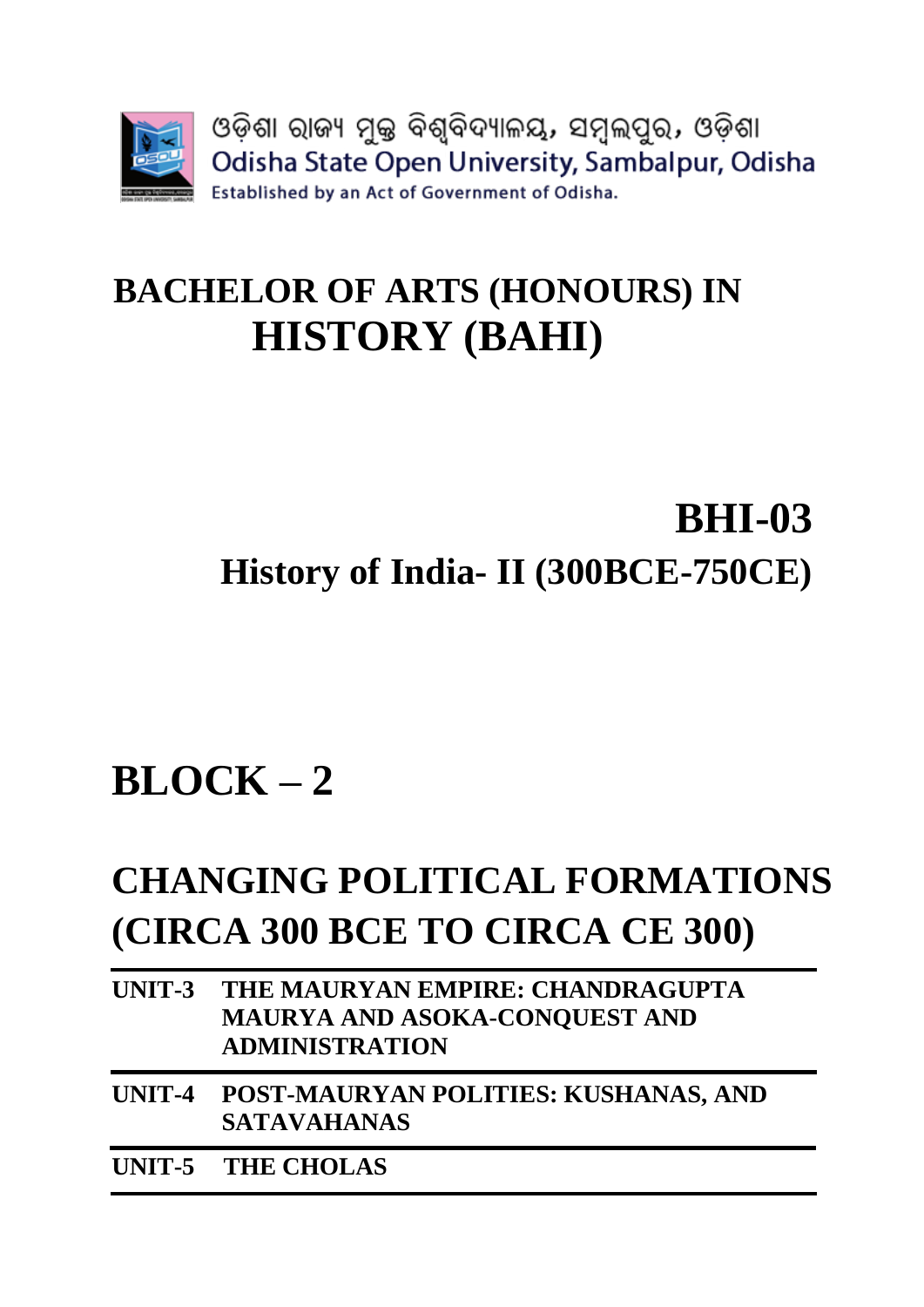### **4.1 INTRODUCTION**

The Magadhan Kingdom began to grow during the sixth century BCE. However, this process accelerated considerably under the Nandas and the Mauryas. The locations of the Asokan inscriptions indicate that a major part of the Indian sub-continent, excluding the eastern and southern extremities, had come under Magadhan suzerainty. Mauryan had a vast territory to control and had an administrative apparatus for doing it. This apparatus covered within its range various levels of administration; administration of the core region (Magadha) of the empire, regional centres, peripheral areas, cities, villages and so on. Besides sustaining the King's authority and order, the administration took into its fold a wide range of activities concerning justice, army, espionage, revenue collections, handicrafts, etc. From a variety of sources like the text of *Arthasatra*, Greek accounts and the Asokan inscriptions we get a fairly good idea of the Mauryan empire and their administrative system.

## **4.2 ORIGIN OF MAURYAN RULE AND CHADRAGUPTA MAURYA**

It has been suggested by D.D. Kosambi that the most immediate and unexpected by product of Alexander's invasion of the north-west was that "it hastened the Mauryan conquest of the whole country." He has argued thus because since the tribe of Punjab had already been weakened, it was not difficult for the Magadhan army under Chandragupta to conquer the whole of Punjab. Most of the Gangetic Plains was already under the control of Magadha. According to Classical sources, Chandragupta is supposed to have even met Alexander and advised him to attack Magadha which was under the unpopular rule of the Nandas. Though this is difficult to verify, both Indian and Classical sources suggest that Alexander's retreat resulted in the creation of a vacuum, and, therefore, it was not difficult for Chandragupta to subdue the Greek garrisons left there. However, what is not clear is whether he did this after his accession to the throne of Magadha or before it. Some scholars date his accession to 324 BCE while now it is generally accepted as 321 BCE.

According to Indian tradition Chandragupta was assisted by the Brahmin Kautilya, also known as Chanakya or Vishnugupta, to rise to power. It is further suggested on the basis of a play of the sixth century CE which in its description of the overthrow of the Nandas by Chandragupta, hints that at his accession to the throne at twentyfive years of age, he was in fact a weak ruler and the real ruler of the empire was Chanakya. The *Arthasastra* is attributed to Chanakya who is said to have been wellversed in not only the political principles of warfare and aggrandisement, but was also deeply knowledgeable about the organisation of the State and society to ensure that the empire did not collapse.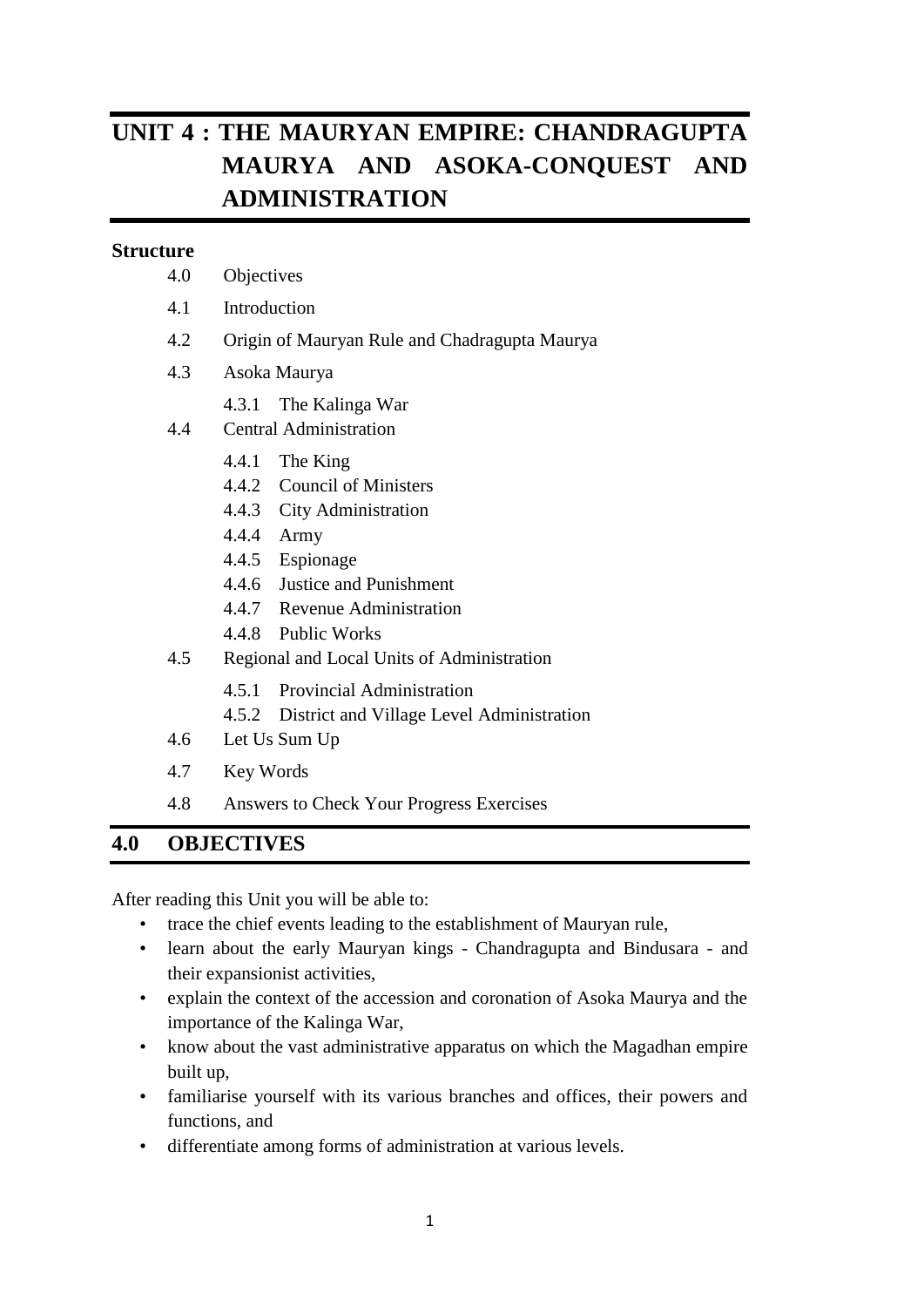Though the early years of Chandragupta's reign are little known, most historians agree to assign either a 'low caste' or a tribal origin to the Maurya family. According to some accounts Chandragupta was the son of the last Nanda king by a "low born" woman called Mura, from her came the family name Maurya. The Buddhist tradition tells us that he was a member of the Moriya clan of Pipphalivana and thus suggests that this dynasty was in some way linked to the tribe of the *Sakyas* to which the Buddha belonged. In this explanation the family name Maurya is said to have been derived from the name of the tribe. This also indirectly implies that as an old family of chiefs they were in some senses *Kshatriyas*. The Puranas do not link the Nanda and Maurya dynasties, though they too describe the latter to be Shudras. The Brahrnanical perception about them is however based on its earlier idea of the Magadhan society generally being unrighteous and of mixed caste origin. The Classical sources which know of the last Nanda king also do not link these two dynasties, though Chandragupta, known to them as Sandrakottus, is described to be of low origin. It is also suggested that the name ending 'Gupta' in Chandragupta's name, and the later episode of-Asoka's marriage to the daughter of a merchant of Vidisa, lend credence to the view that the Mauryas could have been of Vaishya origin.

Though the caste affiliation of the Mauryas remains obscure, it is significant that the most important rulers of this dynasty turned to the heterodox sects later in their lives. On the other hand, the several sources that point to the role of the Brahmin Kautilya as the advisor and the motivating force behind Chandragupta cannot be ignored. The Puranas even suggest that Chanakya had appointed Chandragupta as the king of the realm. One can perhaps suggest that the Mauryas rose to power in a society which was never very orthodox. In the north-west there had been considerable contact with the foreigners and Magadha itself was looked down upon in Orthodox Brahmanical tradition. Besides, it was considerably exposed to the ideas of Buddha and Mahavira. It was thus amidst considerable turmoil social and political that Chandragupta was successful in ascending the throne of Magadha.

Many historians who understand the Mauryan state as an empire primarily in terms of its territorial extent, attribute great importance to the role Chandragupta Maurya played in ruthlessly stemming the tide of foreign interference in the north-west and suppressing indigenous rulers in west and south India. Source material on the exact nature of these military exploits is wanting and therefore, one has to construct these details on the basis of accounts which are available for his successors who inherited this empire.

Both Indian and Classical sources agree that Chandragupta overthrew the last of the Nanda kings and occupied his capital Pataliputra and this success is linked with his accession to the throne in around 321 BCE. As mentioned earlier, the political rise of Chandragupta was also linked with the invasion of Alexander in the north-west. The years 325 BCE - 323 BCE were crucial in the sense that many of the governors who were stationed in the north-west after Alexander's invasion were assassinated or had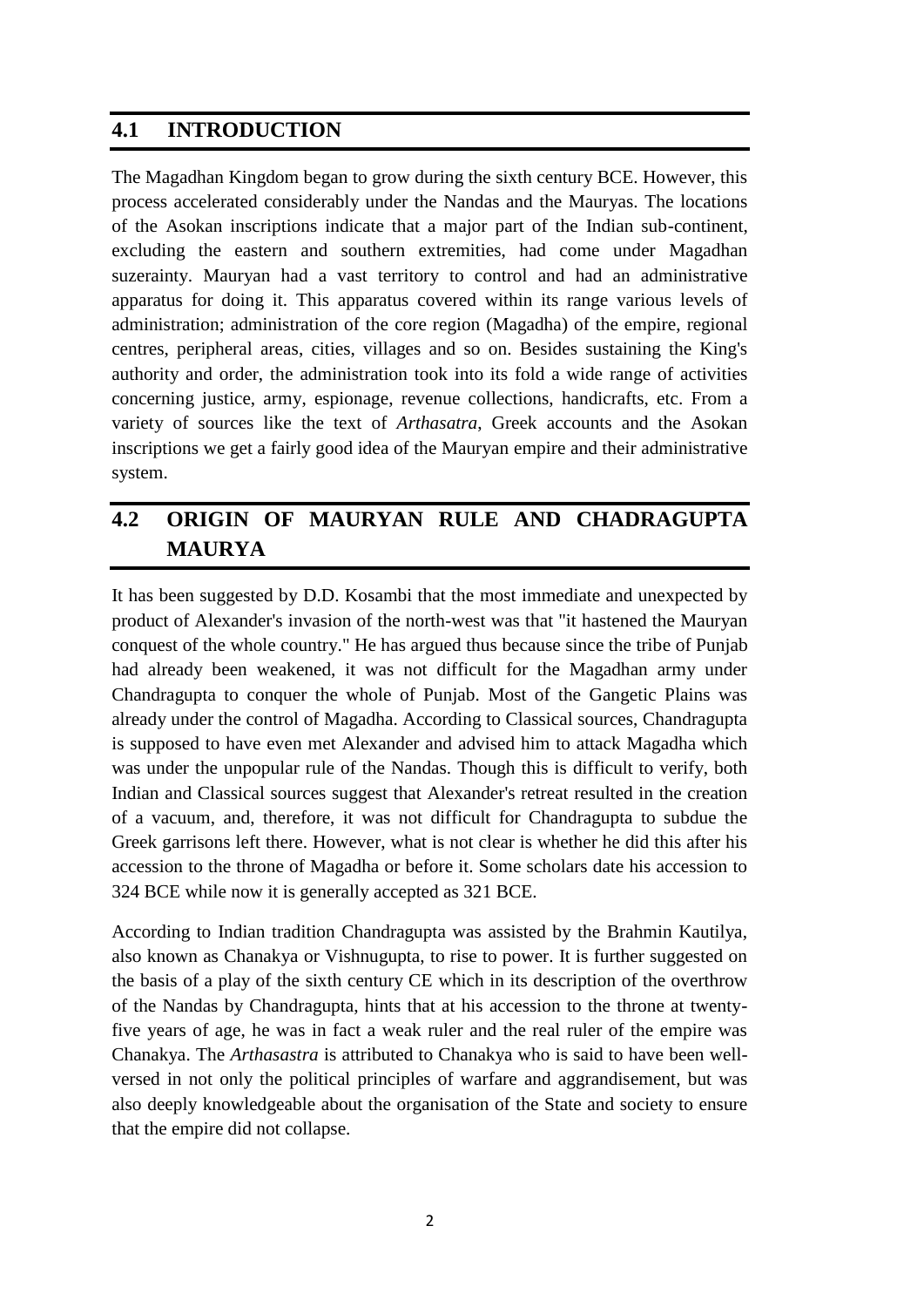to retreat and this enabled Chandragupta to gain control of this region rather quickly. Here, it needs to be stated that there is an uncertainty about whether Chandragupta routed the foreigners first or defeated the Nandas. In any case both these tasks were complete by 321 BCE and the state was set for further consolidation.

One of the first major achievements of Chandragupta Maurya on the military front was his contact with Seleucus Nikator who ruled over the area west of the Indus around 305 BCE. In the war that ensued Chandragupta is said to have turned out victorious and eventually, peace was established with this Greek viceroy in around 303 BCE. In return for 500 elephants Seleucus gave him eastern Afghanistan, Baluchistan and the area west of the Indus. The Satrapies thus called were Arachosia, Paropanisadae, Aria and Gedrosia. A marriage alliance was also concluded. Further, Seleucus sent an ambassador called Megasthenes who lived in the court of Chandragupta for many years. This achievement meant that the territorial foundation of the Mauryan empire had been firmly laid with the Indus and Gangetic plains well under Chandragupta's control.

It is suggested by a majority of scholars that Chandragupta ultimately established his control not only in the north-west and the Ganges plains, but also in western India and the Deccan. The only parts left out of his empire were thus present day Kerala, Tamil Nadu and parts of North-eastern India. Details of the conquests in different parts of India are lacking. The Greek writers simply mention that Chandragupta Maurya overran the whole country with an army of 600,000. The conquest and subjugation of Saurashtra or Kathiawar in the extreme west is attested in the Junagadh Rock Inscription of Rudradaman of the middle of the second century CE. This record refers to Chandragupta's viceroy or governor, Pushyagupta by name, who is said to have constructed the famous Sudarshana Lake. This further implies that Chandragupta had under the control the Malwa region as well. With regard to his control over the Deccan too we have late sources. These are some medieval epigraphs informing us that Chandragupta had protected parts of Karnataka.

The Tamil writers of the Sangam text of the early centuries CE make allusion to the "Moriyar" which is said to refer to the Mauryas and their contact with the south, but this probably refers to the reign of Chandragupta's successor. Finally, the Jaina tradition informs us that Chandragupta having become a Jain abdicated the throne and went South with Bhadrabahu, the Jain saint. At Sravana Belgola, the Jaina religious centre in south Karnataka, he spent the rest of his life and died in the orthodox Jain way by slow starvation.

Bindusara, the son of Chandragupta, is said to have ascended the throne in 297 BCE. There is comparatively little known about him from either Indian or Classical sources. To the latter he is known as Amitrochates. They also inform us that he had contacts with the Seleucid king of Syria, Antiochus I, whom he requested to send him sweet wine, dried figs and a sophist.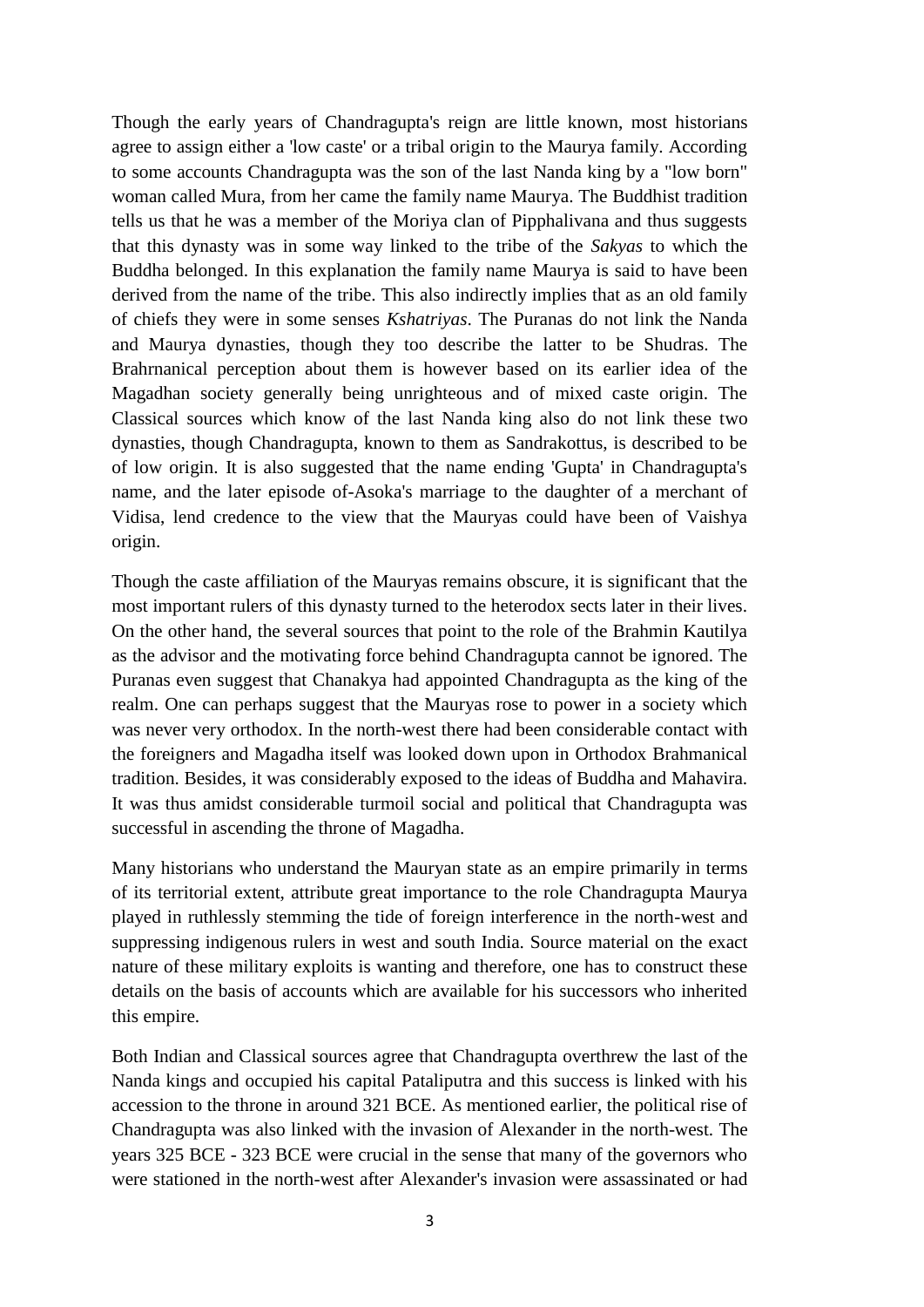In a very late source of the sixteenth century, in the work of the Buddhist monk Taranath of Tibet, we are told of Bindusara's warlike activities. He is said to have destroyed kings and nobles of about sixteen cities and reduced to submission all the territory between the eastern and western seas. The descriptions of early Tamil poets' of the Mauryan chariots thundering across the land probably refer to his reign. Many scholars believe that since Asoka is credited to have conquered only Kalinga, the extension of the Mauryan empire beyond the Tungabhadra must have been the work of his predecessors. It can therefore be suggested that it was probably in Bindusara's reign that the Mauryan control of the Deccan, and the Mysore plateau in particular, was firmly entrenched.

Though Bindusara is called "slayer of foes", his reign is not very well documented, and, therefore, the extent of his conquests can only be arrived at by looking at a map of the empire of Asoka who conquered only Kalinga (Odisha). His religious leanings are said to have been towards the Ajivikas. Buddhist sources suggest the death of Bindusara around 273-272 BCE. After his death there was a struggle for succession among his sons for about four years. Ultimately, around 269-268BCE Asoka was crowned Bindusara's successor.

#### **Check Your Progress 1**

- 1) Mention which of the statements are correct  $(\sqrt{\ })$ , or wrong  $(\times)$ .
	- a) On the advise of Chandragupta, Alexander invaded Magadha. ( )
	- b) The Nanda and Mauryan families were related by blood. ( )
	- c) Chandragupta was able to defeat Seleucus Nikator. ( )
	- d) Chandragupta and Bindusara conquered India upto Kanyakumari. ( )
	- e) Bindusara had contacts with the Seleucid king, Antiochus-I. ( )
- 2) What are the various ways in which the caste/origin of the Mauryan family can be explained? Give some of the views in about five lines.

………………………………………………………………………………………… ………………………………………………………………………………………… ………………………………………………………………………………………… …………………………………………………………………………………………  $\mathcal{L}^{\text{max}}$ …………………………………………………………………………………………

### **4.3 ASOKA MAURYA**

Till about 1837 CE Asoka Maurya was not a very well-known king. In that year James Prinsep deciphered a Brahmi inscription referring to a king called Devanampiya Piyadasi (Beloved of the Gods). This was compared with what was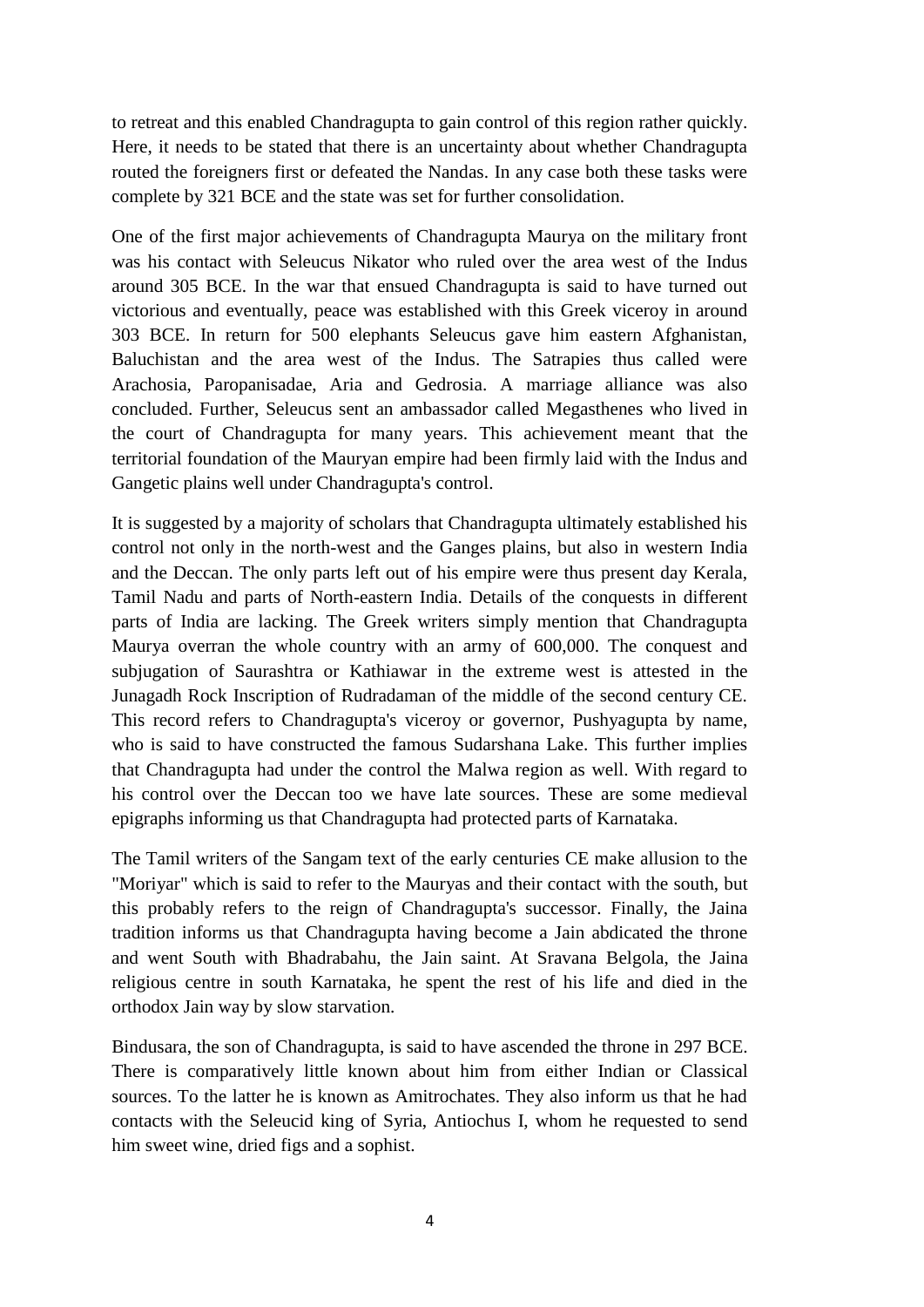known from the Sri Lankan chronicle Mahavamsa and then it could be established that the king of the inscription was indeed Asoka Maurya. The fame of Asoka is due to the fact that he turned away from war and tried to establish a system of rule based on the principle of Dhamma. Below, we discuss some relevant details of his early life, the Kalinga War and the extent of the Mauryan empire during his reign.

#### **4.3.1 The Kalinga War**

During his father's reign Asoka served as a Viceroy at Ujjain and also at Taxila. It is suggested that he was sent to Taxila for a special purpose, namely, to quell a revolt. After being successful at Taxila, the Buddhist sources tell us, he was sent to Ujjain as Viceroy. The events in his personal life here, like his marriage to a Vidisha merchant's daughter and the birth of their two children Mahindra and Sanghamita, are said to have had a great influence in turning Asoka towards Buddhism. Many of the details about his early life come from the Buddhist chronicles, and, therefore, certain ambiguities in them cannot be denied.

About the accession of Asoka too there are several versions, but there is some general agreement that he was in fact not the crown prince (Yuvaraja). Therefore, he was involved in a struggle against other princes before he ascended the throne His portrayal as an extremely wicked king before his conversion to Buddhism is undoubtedly exaggerated in Buddhist accounts so as to enhance his piety as a Buddhist. It is necessary to point out that though Buddhism played a significant role in Asoka's later life, one has to discount those versions that depict him as a fanatic or bigot. An idea of the King's personality and beliefs comes through more clearly from his many inscriptions in Which his public and political role are both described. They also suggest his conversion to Buddhism to have taken place after the Kalinga War.

Though Asoka's predecessors had intruded into the Deccan and the South and perhaps conquered parts of it, Kalinga, *i.e*., the present-day State of Odisha, still had to be brought under Mauryan control. It was of strategic importance as it controlled routes to South India both by land and sea. Asoka himself in Rock Edict-XIII describes his conquest of Kalinga which is said to have taken place eight years after his consecration, around 260 BCE. In this war the Kalingans were completely routed and "One hundred thousand were slain, and many times that number died." Though on the battlefield Asoka, was victorious, the inscription goes on to describe his remorse which then ultimately turned him towards Dhamma. A policy of conquest though war was given up and replaced by a policy of conquest through Dhamrnavijaya. This was meant to work both at the State and personal levels, and totally transformed the attitude of the king and his officials towards their subjects. During Asoka's reign the Third Buddhist Council met at Pataliputra in 250 BCE. This council decided to send missionaries to various regions. Accordingly Asoka sent his people outside India to spread Buddhism.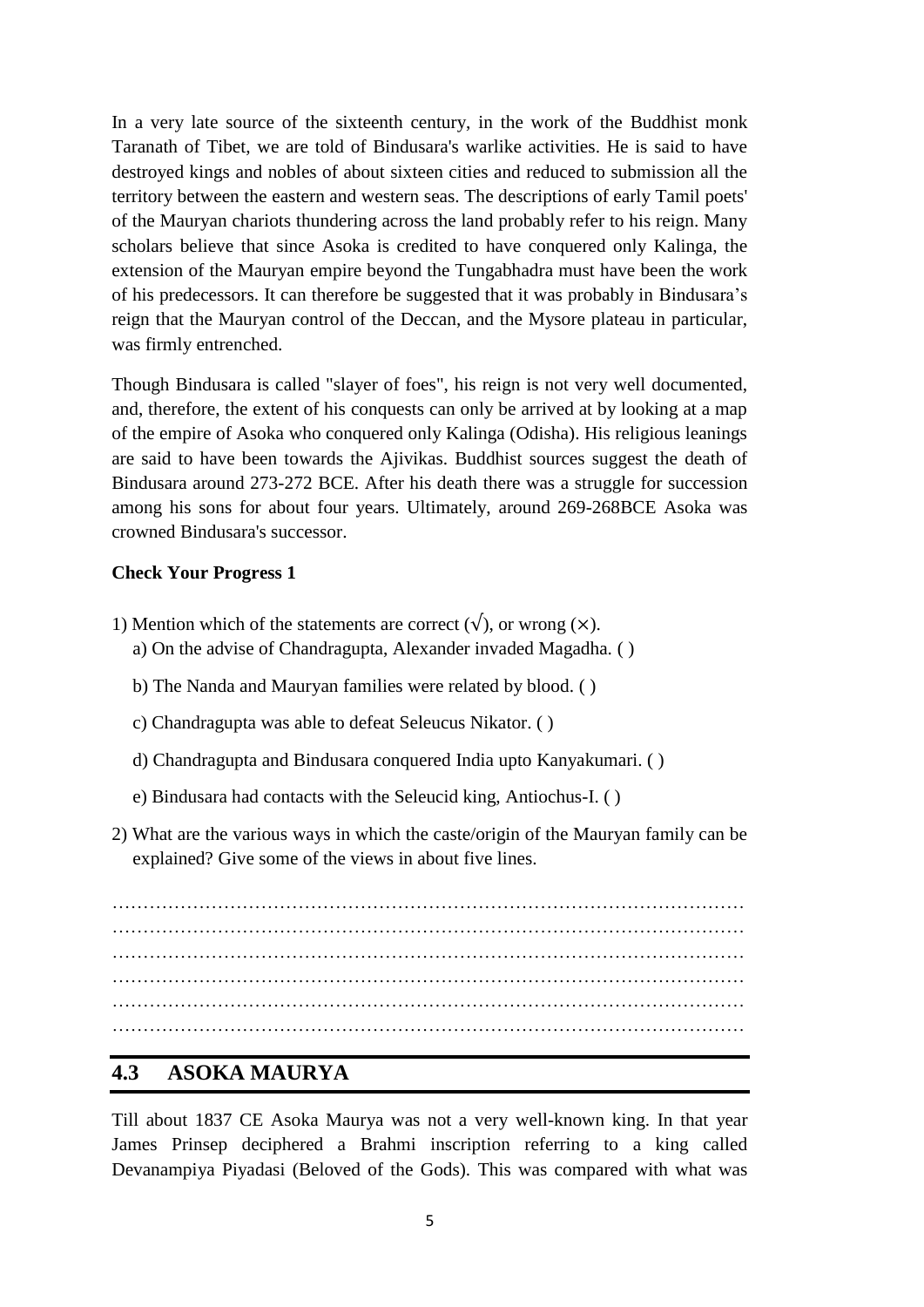### **4.4 CENTRAL ADMINISTRATION**

The Mauryan Empire had many major administrative units like the centre and the regions which had various sub-units down to the village. All these units had their own administrative set up but they came under the central authority. The Central administration can be classified under following heads:

| i) The King                  | v) Espionage network        |
|------------------------------|-----------------------------|
| ii) The Council of Ministers | vi) Law and justice         |
| iii) City Administration     | vii) Revenue Administration |
| iv) Army                     | viii) Public Welfare        |

#### **4.4.1 The King**

The King was the supreme authority of the state. All basic policy matters as well as crucial decisions were taken by the King. The *Arthasastra* has mentioned that if over an issue the traditional law (Shastra) holds a different point of view from that of the King's law, it was the King's law which prevailed. The Mauryan Empire, in fact, represents a centralised political system under which the monarchy had emerged victorious over the *gana-samghas*. The *Arthasastra* gives final authority to the King in all aspects of administration. It gives the King primacy among the seven components of the state.

#### **The Seven Components**



The argument in favour of King's central position in the *Arthasastra* is because it is the King who:

- appoints or removes the ministers (Amatyas),
- defends the treasury and the people,
- works for the progress and welfare of the people,
- punishes the evil, and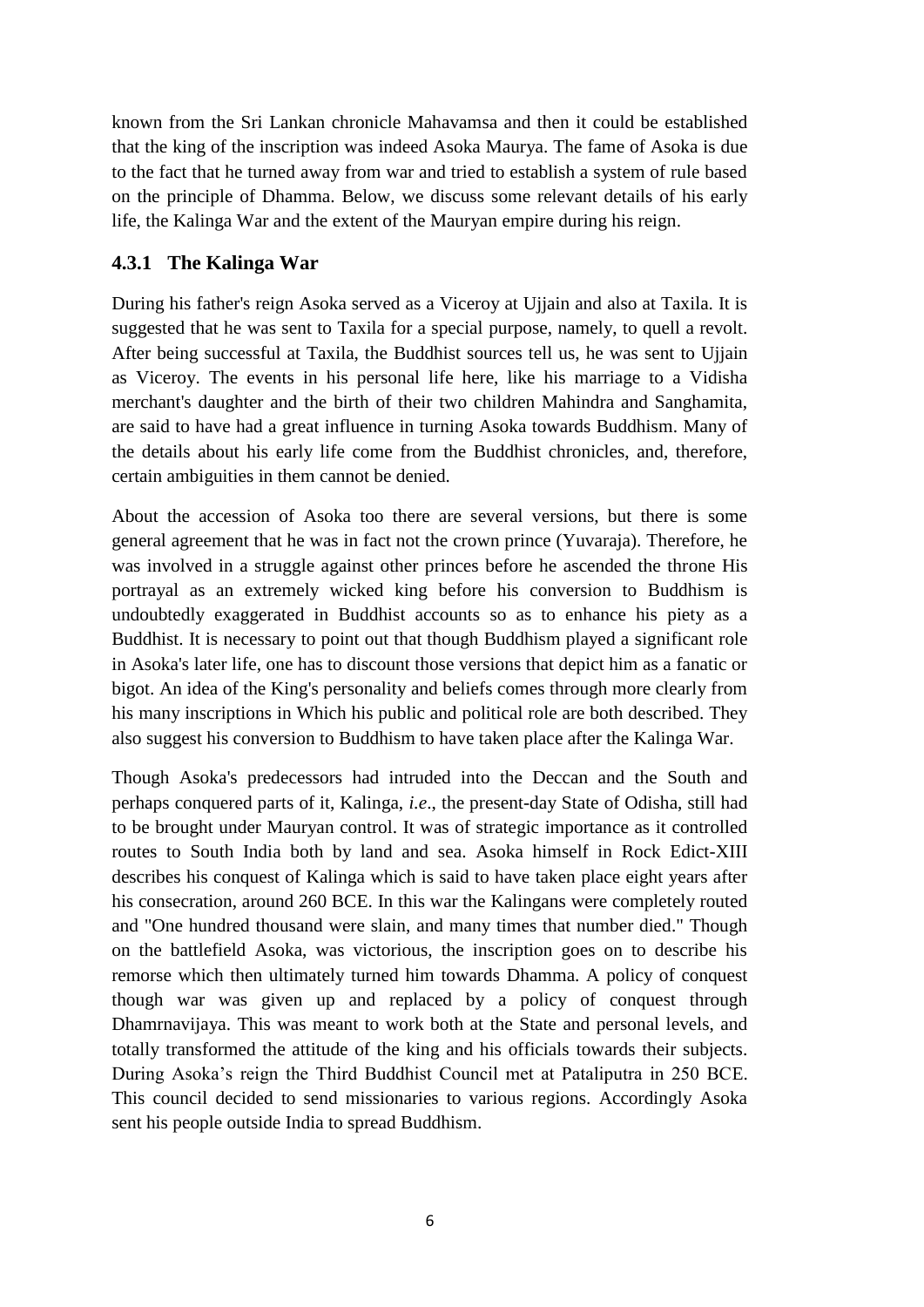• influences the people (*Praja*) through his morality.

But not everyone was fit to be a King and the *Arthasastra* also mentions certain necessary virtues for the King like:

- birth in a high family (*uchchakula*),
- capability to keep under control various small kings and officials,
- sharp intellect,
- truthfulness, and
- upholder of Dharma, etc.

Not only this, but the *Arthasastra* specifies certain subjects which the King should master in order to carry out his functions. He should undergo military training and have knowledge of various departments of economic life (Vartta), writing (Lipi) etc. The *Arthasastra* further goes on to explain his conduct and daily routine.

The *Arthasastra* also lays down three-basic pre-conditions for successful administration of the empire by the King:

i) he should pay equal attention to all matters,

ii) he should remain vigilant and active for taking action or corrective measure, and

iii) he should always discharge his duties.

Besides, he had to be constantly accessible to his advisors and officials. That the King did so is also evident from the account of Megasthenes and from the Asokan edicts.

By the time of Asoka the Mauryan Empire had consolidated its position. An important development in the King's position now was the emergence of a paternal attitude towards his subjects. In the Dhauli inscription Asoka states:

*"All men are my children and just as I desire for my children that they should obtain welfare and happiness both in this world and the next, the same do I desire for all men."*

But in spite of this paternal attitude the monarch was conscious of his absolute authority. For example in the same inscription, addressed to the officials at Tosali and Samapa, he states:

*Whatever I approve of that I desire either to achieve by taking action or to obtain by effective means . . . . . and these are my instructions to you.*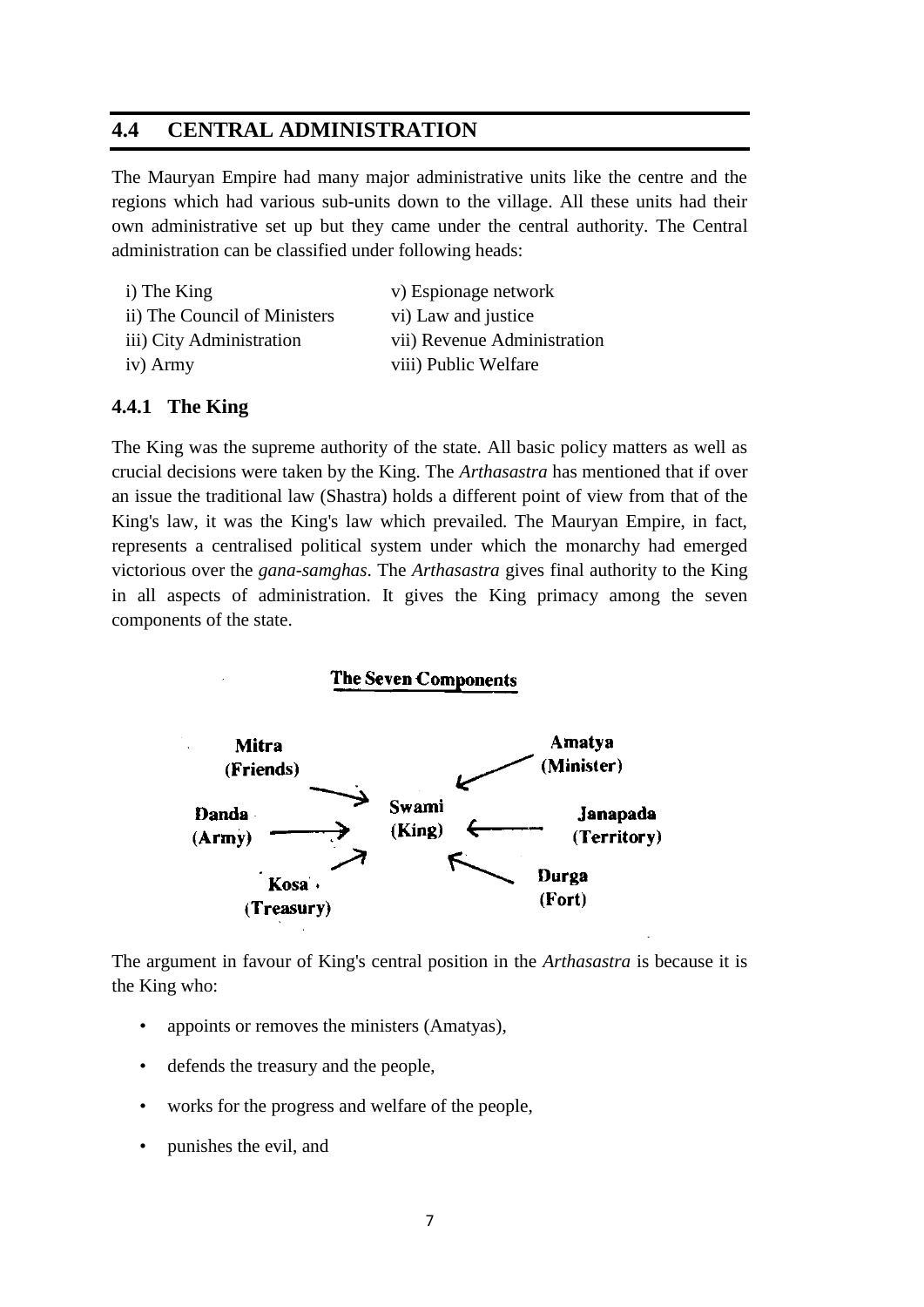There is no doubt that Asoka kept the welfare of the people as the prime aim of administration but in terms of political analysis he was an absolute monarch. By adoption of the title *Devanampiya* (beloved of the Gods) Asoka according to Romila Thapar, made "*an attempt to emphasize the connection between kingship and divine power, perhaps even to the degree of excluding the intermediaries, the priests*." This, in fact, indicates that the King was now exercising his authority in religious matters also.

### **4.4.2 Council of Ministers**

The *Arthasastra* as well as the Asokan inscriptions refer to a Council of Ministers (*Mantriparishad*). The *Arthasastra* mentions that the work of the state cannot be carried out without assistance. It mentions that "as the chariot cannot move on one wheel hence the King should appoint ministers and listen to their advice". Similarly the, Girnar Rock Edicts of Asoka mention about the functions of the Council:

- Rock Edict III implies that the *Parishad* was expected to see that new administrative measures were carried out by different categories of officials.
- Rock Edict VI mentions that the ministers can discuss the King's policy during his absence, suggest amendments, and decide upon any important matter which the King has left to them. Yet the Council had to report its opinion to the King immediately.

The power of the Council might have varied from time to time; yet its primary role remained that of an advisory body. This was because the final authority vested with the King. There was no fixed number of ministers and Kautilya mentions that it should be decided according to the needs. But he opined that "a large council is beneficial for the King". He has also listed the issues on which the King should consult his ministers. These included:

- consultation on how to start the works which the state wants to undertake,
- to determine the manpower and finances involved in carrying out these works,
- to determine the areas-where the works have to be carried out, and
- finding solutions to deal with calamities, etc.

Kautilya mentions that the work should be carried out according to the majority verdict (Bhuvyist) in the council but in case the King feels that the majority verdict will not be able to achieve the goal, he should decide according to his own thinking.

He makes it clear that the "ministers should see to it that the King's orders are carried out properly".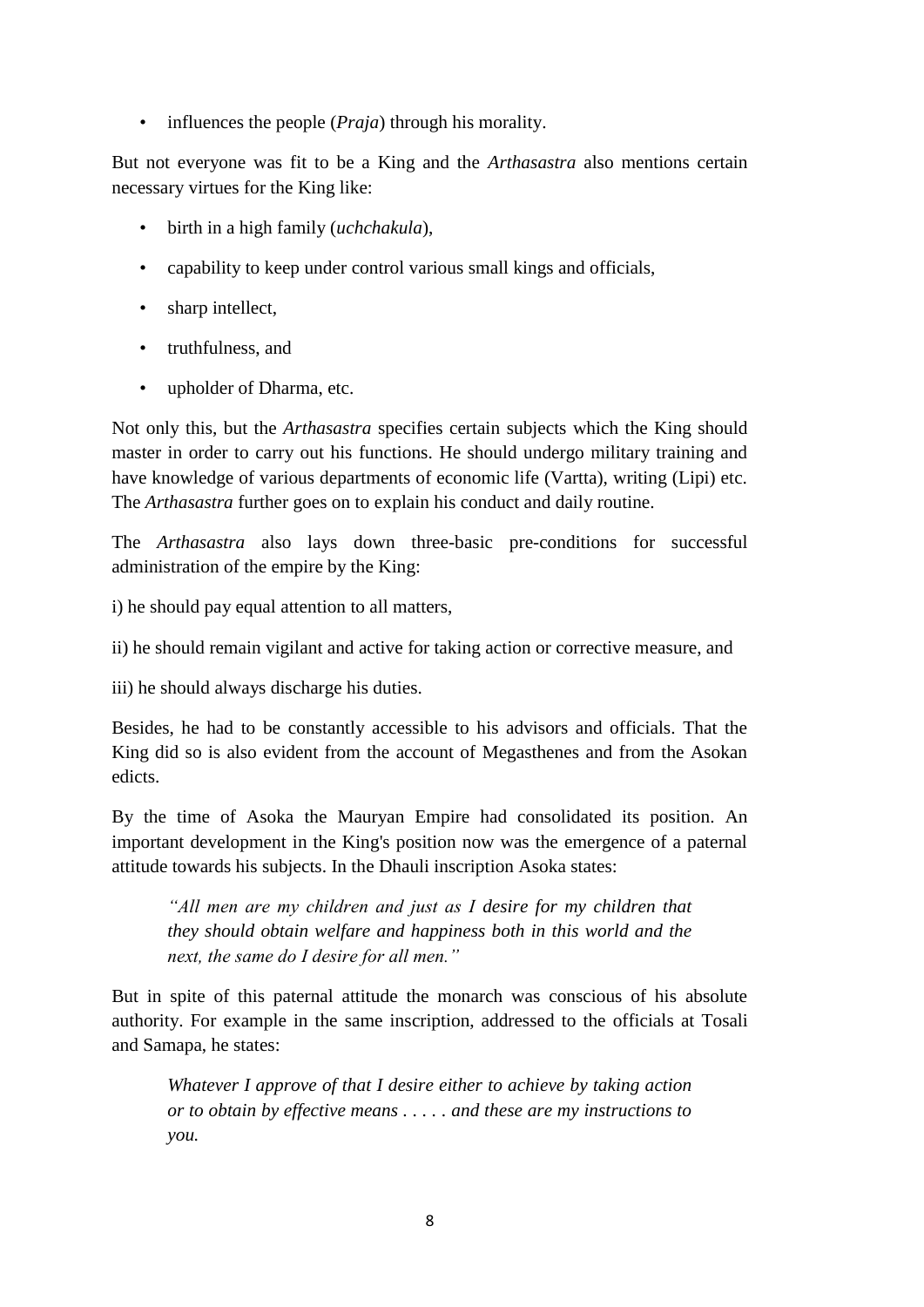An interesting point mentioned in the *Arthasastra* is the criteria or the qualifications for the appointment of ministers. For example the person should be such as not to be lured by wealth, not to succumb to pressure, etc. *i.e.*, he should be a *Sarvopdashudha* (purest of all). There are also references to an inner council (*Mantrins*) - small group of ministers who would be consulted on issues which needed immediate attention.

We do get references about eighteen departments (*Tirthas*) of the central government in the *Arthasastra*. For example the *Karmantika* looked after the industries, the *Antarvamsika* looked after the King's security and the *Sannidhata* looked after the treasury, etc.

### **4.4.3 City Administration**

Megasthenes has given a vivid description of administration in *Palibothra* (Patliputra). This account, though different from that in the *Arthasastra*, helps us in understanding the city administration during this period. In this account the city council was divided into six sub-councils or committees and each committee had five members:

- 1) The first committee looked after industry and crafts. Its functions included inspection of such centres; fixing the wages, etc.
- 2) The second committee looked after the foreigners. Its functions included; arranging for their food, stay and comfort, security, etc.
- 3) The third committee's work was registration of births and deaths.
- 4) Looking after trade and commerce, the functions of the fourth committee included- inspection of weights and measures, controlling the market, etc.
- 5) The fifth committee inspected the manufactured goods, made provisions for their sale and a strict watch was kept to distinguish between new and second-hand goods.
- 6) The sixth committee collected taxes.

Interestingly, there is no mention of such committees in the *Arthasastra* in spite of the well-defined plan of city administration. However, we do find in this planning almost all the functions mentioned by Megasthenes. For example, in *Arthasastra* the functions of the fourth committee are performed by the *Panyadhyaksha*, the collection of taxes (Sixth Committee) was the responsibility of *Sulkadhyaksha* and registration of births and deaths was the work of *Gopa*. The head of the urban administration was called *Nagariaka*. He was assisted by two subordinate officials - *Gopa* and *Sthanika*. Besides these, there were a host of officials whose functions have been elaborately defined. For example:

- *Bandhanagaradhyaksha* looked after the jail.
- *Rakshi i.e.* the police, was to look after the security of the people.
- Work in the centres where goods were manufactured was looked after by a host of superintendents like the *Lohadhyaksha*, *Sauvarnika*, etc.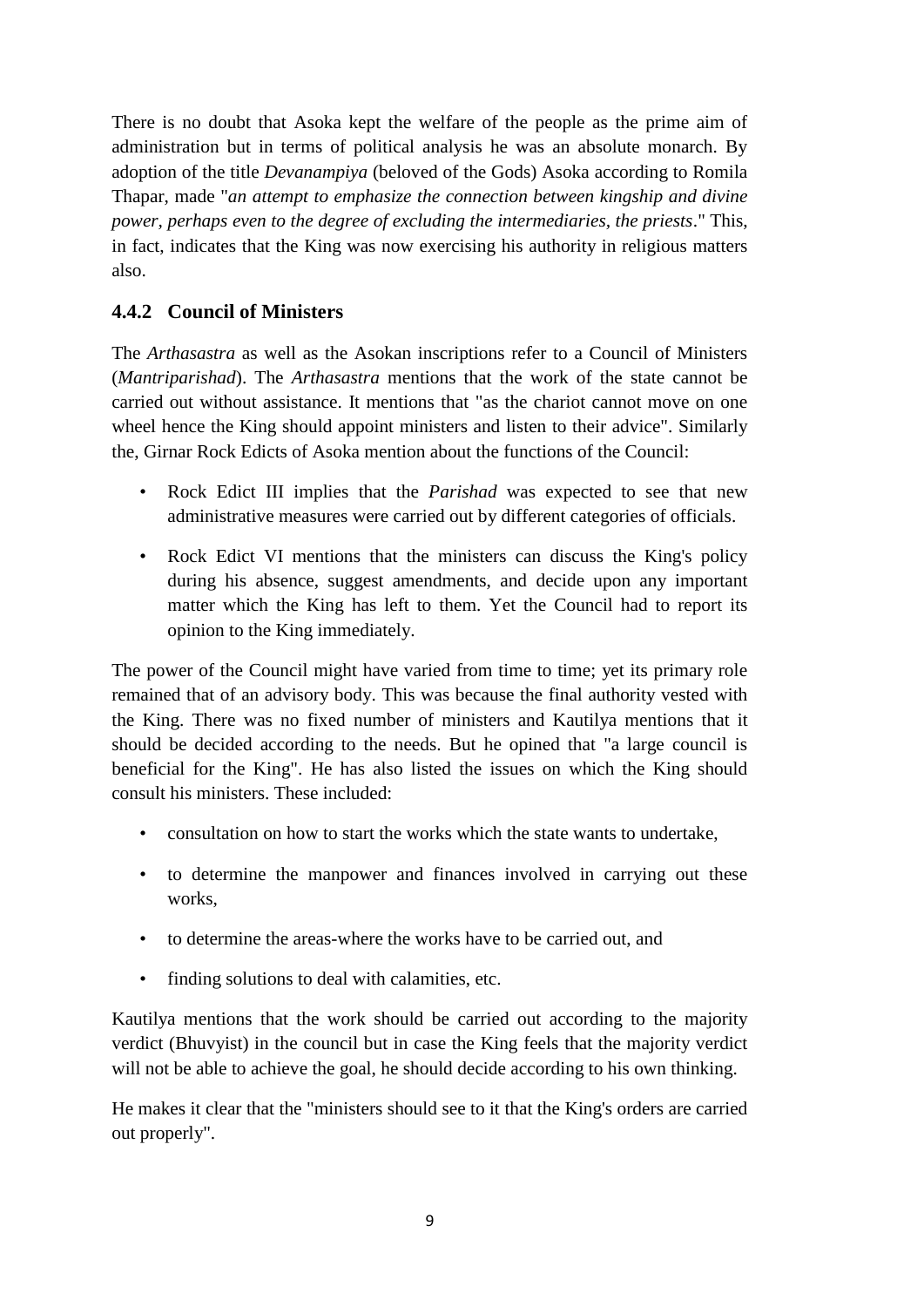*Arthasastra* also refers to variety of activities of city administration, regulations related to them and penalties on their breach. These included:

- Sanitation and water sources
- checking adulteration,
- watch over inns, and
- pre-cautions against fire, etc.

The law enforcers were not above the law. For example in case the *Rakshina* (policeman) maltreated a woman, he had to face severe punishments. At the same time if the citizens broke any of the regulations they were subjected to penalties. For example, if any citizen moved out during the curfew hours at night and his explanation for this did not come under the exempted categories, he had to pay a heavy fine. Thus, we can say that the city administration during this period was elaborate and well planned.

### **4.4.4 Army**

The Nanda kings had a strong army and it is interesting that the army which Kautilya and Chandragupta had raised to defeat the Nanda king consisted of mercenary soldiers. Both the Greek and Indian literary sources refer to this. Later on the size and organisation of Chandragupta's army became fairly large. For example, According to Pliny's account it consisted of 9000 elephant, 30000 cavalry and 6000 infantry. Plutarch's account refers to 6000 elephants, 80000 horses, 20000 foot soldiers and 8000 war chariots. These accounts may be exaggerated but the retreat of Seleucus, descriptive account of army administration in *Arthasastra* and the violent Kalinga war in Asoka's time point towards a large and well organised military set up under the Maurya. According to Megasthenes the branches of the army consisted of:

- infantry,
- cavalry,
- elephants,
- chariots.
- transport, and
- admiral of the fleet

Each branch was looked after by a committee of 5 members. Kautilya has referred to *Chaturangabala* (*i.e.* infantry, cavalry, chariots and elephants) as the main components of the army -each under a commander.

| <b>Salaries of Army Officers</b> |  |                   |
|----------------------------------|--|-------------------|
| Senapati                         |  | <b>48000 Pana</b> |
| <b>Nayaka</b>                    |  | <b>12000 Pana</b> |
| <b>Mukhyas</b>                   |  | <b>8000 Pana</b>  |
| Adhyakshas                       |  | <b>4000 Pana</b>  |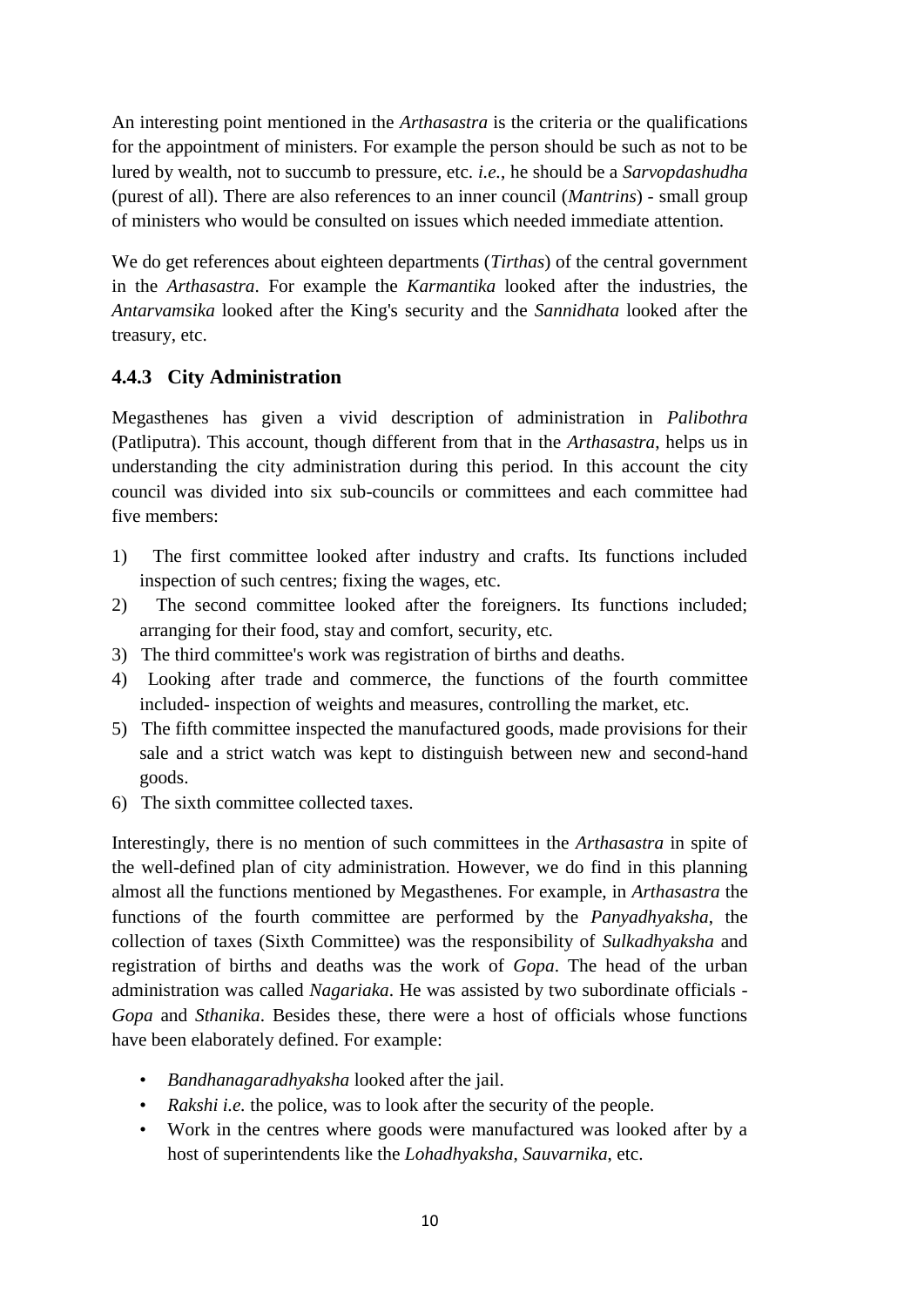There was a separate department to look after the production and maintenance of a variety of armaments whose chief was known as *Ayudhagaradhyaksha*.

There is a detailed description of the work of various *Adhyakshas*. For example the *Rathadhyaksha* also had to look after the construction of chariots and the *Hastyadhyaksha* looked after the elephant force. The *Arthasastra* also refers to the recruitment policy, war plans and fortifications, etc.

There is no doubt that the state spent a large amount of revenue in maintaining its army, which in the long run might have adversely affected its treasury.

### **4.4.5 Espionage**

The Mauryan administration had a well-knit system of espionage. A watch was kept practically on all important officials as well as on general public. The main tasks of the spies recruited involved:

- keeping an eye over the ministers,
- reporting on government officials,
- collecting impressions regarding the feelings of citizens, and
- know the secrets of foreign rulers, etc.

For these activities they would seek the help of various people like cooks, barbers, etc. They would themselves adopt various guises like ascetics, students, etc., to seek information. At times they even directly reported to the king on matters of importance. In fact the *Arthasastra* mentions a well-knit system of espionage.

### **4.4.6 Justice and Punishment**

In order to maintain social order, smooth functioning of the administrative system and flow of revenues to the state an orderly legal system was established under the Mauryas. The *Arthasastra* is full of codes listing punishments for various offences. These included a vast range from violation of marriage laws, divorce, murder adulteration, wrong weights, etc. There were various kinds of courts to try the offenders of law or settle disputes at various levels. If the *Gramika* had judicial powers at the village level there were also courts at the level of *Janapada* and the centre. Two kinds of courts are mentioned in the *Arthasastra*:

- 1) *Dharmasthiya* i.e. courts which decided personal disputes.
- 2) *Kanhkmaba* i.e., courts which decided upon matters related to individuals and the state.

For example, the first kind of courts would settle issues related to disputes over *Stridhana* (wife's wealth) or marriages etc., and the second category of courts dealt with wages to workers, conduct of workers, murder, etc. The courts functioned under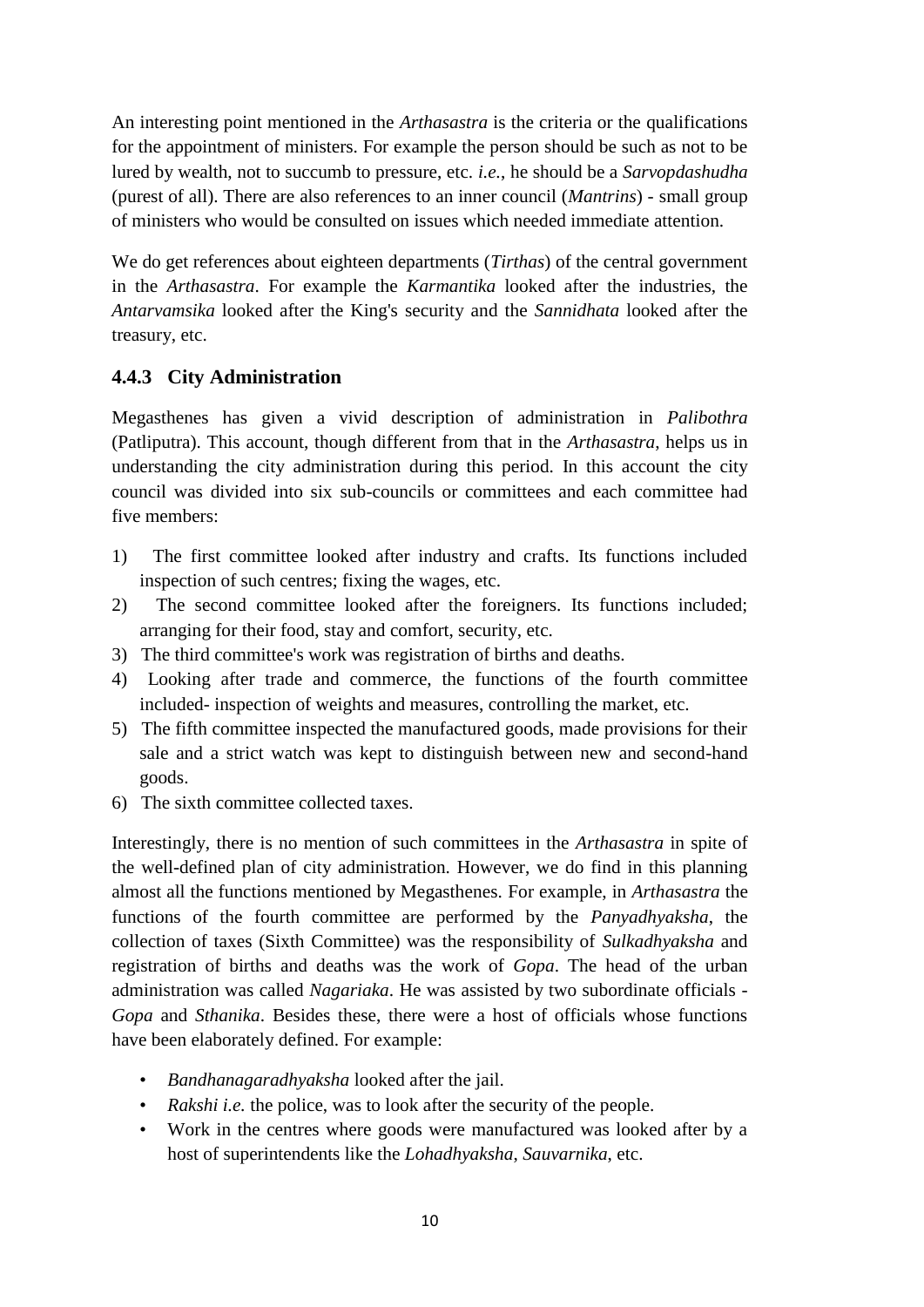certain regulations. Cases were properly registered and ample opportunity given to produce witnesses and plead on one's behalf. The sources of law, as mentioned by Kautilya, were:

#### 1) *Dharma*

- 2) *Vyavahara i.e*., current legal codes,
- 3) *Chraritra i.e*., customs, and
- 4) *Rajasasana i.e.*, the royal decree.

The king was the upholder of *Dharma* and held the supreme judicial power. According to Megasthenes the incidence of crime committed in Maurya India was not very high. But the range of punishments mentioned in the *Arthasastra* indicates that breach of laws and crimes were not uncommon in the Mauryan social fabric. Hence, this need for a severe Penal code. However, due stress was laid on evidence and the witness. Cases were decided by a "body of arbitrators' with a system of appeal to the king. However, it is worth mentioning here that the penalties in *Arthasastra* were based on Varna hierarchies meaning that for the same kind of offence a *Brahmana* was punished much less severely than a Sudra.

#### **4.4.7 Revenue Administration**

State revenues, during the Mauryan period, were derived from various channels. Kautilya has listed different resources from where revenue flowed into the state treasury which was looked after by an official *Sannidhata*.



All these resources had their own sources of collection in their areas. For example:

- The cities collected revenues in the form of fines, sales tax (*Sulka*), exercise on sale of liquor, a kind of income tax imposed on the rich, etc. (The *Arthasastra* lists 21 such taxes collected by the *Durga*). The revenues from the rural areas were appropriated by the state in the form of income from Crown lands (*Sita*), land revenue (*Bhaga*) from cultivators, taxes on orchards, ferry charges, etc.
- As all the mines were under the control of the state, the mineral wealth was a regular source of income for the state.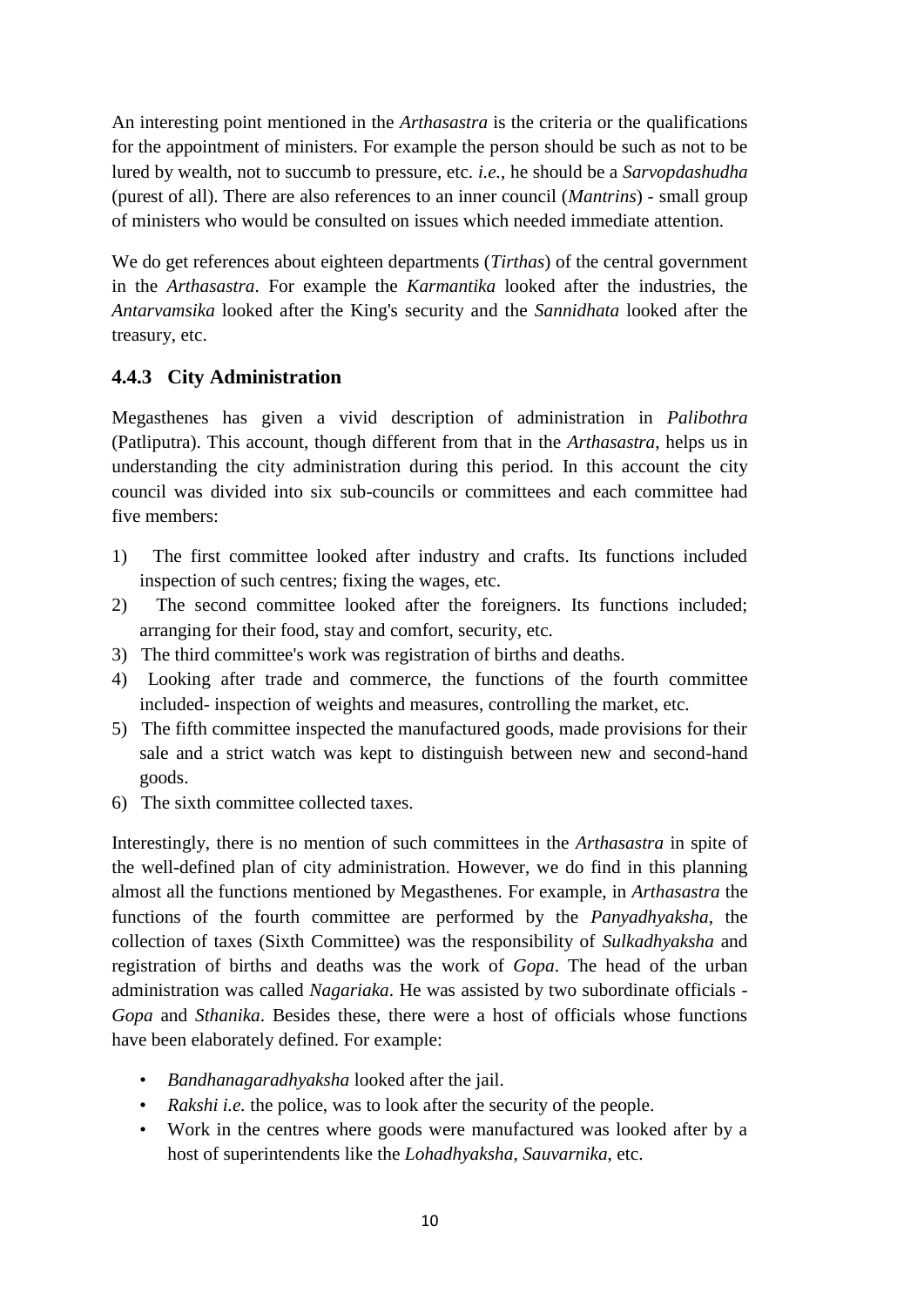- Taxes were levied on merchants travelling by road or water ways.
- Taxes on exports and imports, etc.

There were certain collections made directly by the state from the concerned people. For example, the gamblers had to part with five percent of their winnings to the state and the merchants had to pay when their weights were tested and certified by the state officials. The state control over armament industry and salt trade increased its revenues. The state was also empowered to impose taxes in case of emergency for increasing its earnings. There were various departments to collect, regulate and manage the state revenues. Most of the revenue collections which went to the state treasury had their outflow in the form of expenditure on army, administration, salaries, king, etc.



The King had the right of granting remission of land revenue for we find that Asoka had reduced the *Bhaga* (state's share in agricultural produce) of the village Lumbini to ⅛ since it was the birth place of Buddha.

#### **4.4.8 Public Works**

The Mauryan state took a keen interest in public works. The account of Megasthenes and the *Arthasastra* refer to these works:

- The state took considerable interest in irrigation because it could be a major source of revenue. Megasthenes has mentioned officials who supervised irrigation. In *Arthasastra* also there are references to various modes of irrigation like dams, ponds, canals etc. There were certain regulations regarding the use of water resources and breaking these was a state offence. The state also encouraged people for repairing dams at their own initiative and for this land revenue remissions were granted. In the inscription of Rudradaman (written in the middle of second century CE) there is mention of the construction of a water reservoir (*tadaga*) called Sudarsana during Chandragupta's times. This was obviously built to facilitate the supply of water.
- There are a many references to medicine men of various kinds during this period like ordinary physicians (*Chikitsakah*), midwives (*Garbhavyadhi*) etc.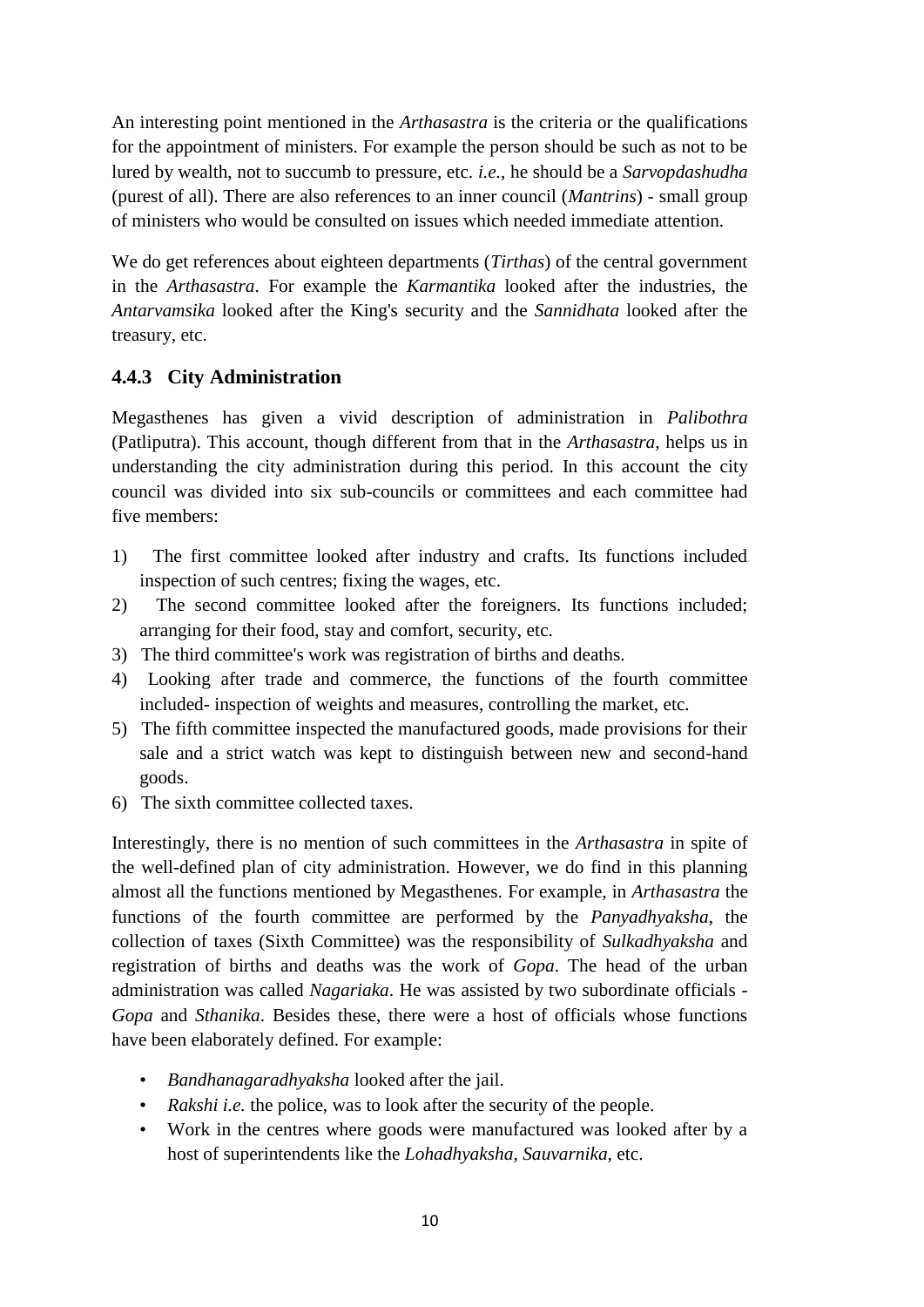From Asokan inscriptions we know that medical treatment and medicines were available to both men and animals.

- The state also helped its citizens during natural calamities like floods, famines etc.
- The *Arthasastra* mentions that the King should look after orphans, old unattended women, etc. To what extent these were actually carried out we do not know.
- An important aspect of public works was the laying down and repair of roads and opening inns.

Thus, we can say that the state did spend a certain amount from its revenues on public works. This must have increased during the time of Asoka due to his concern for public welfare and paternal attitude towards his subjects.

# **4.5 REGIONAL AND LOCAL UNITS OF ADMINISTRATION**

We know that in the Mauryan state all powers were vested in the King and that the core area of the state was characterised by a highly centralised administrative system. But at the same time no administrative control could be effective in a vast empire unless it devised certain administrative means also to control the regional or local levels. After its territorial expansion the Magadha state established administrative control at the provincial and local levels.

### **4.5.1 Provincial Administration**

The head of the Provincial administration was the *Kumara* (royal prince) who used to govern the province as the King's representative. For example, Asoka had been the *Kumara* of Ujjayini and Taxila before becoming the King. The Kumara was in turn assisted by *Mahamatyas* (*Mahamatras* during Asoka's period) and a council of ministers. From Asokan edicts we get the names of four provincial capitals-Tosali (in the east), Ujjain (in the west), Suvarnagiri (in the south), and Taxila (in the north). Certain areas within the province were administered by governors who may have been minor rulers of the areas. We can say this because the Junagadh inscription of Rudradaman mentions Tushaspa, a yavna, as a governor of Junagadh area during the time of Asoka. The same inscription, however, says that during Chandragupta Maurya's time his representative in that area was a Vaisya Pushyagupta.

The council of ministers at the provincial level not only acted as a check on the Kumara but at times had direct relations with the King.

Among the senior officials were the *Mahamatras*. The *Arthasastra* mentions them in the sense of ministers whereas the Asokan edicts mention them as performing various activities like looking after the border areas, judicial work and *Dhamma*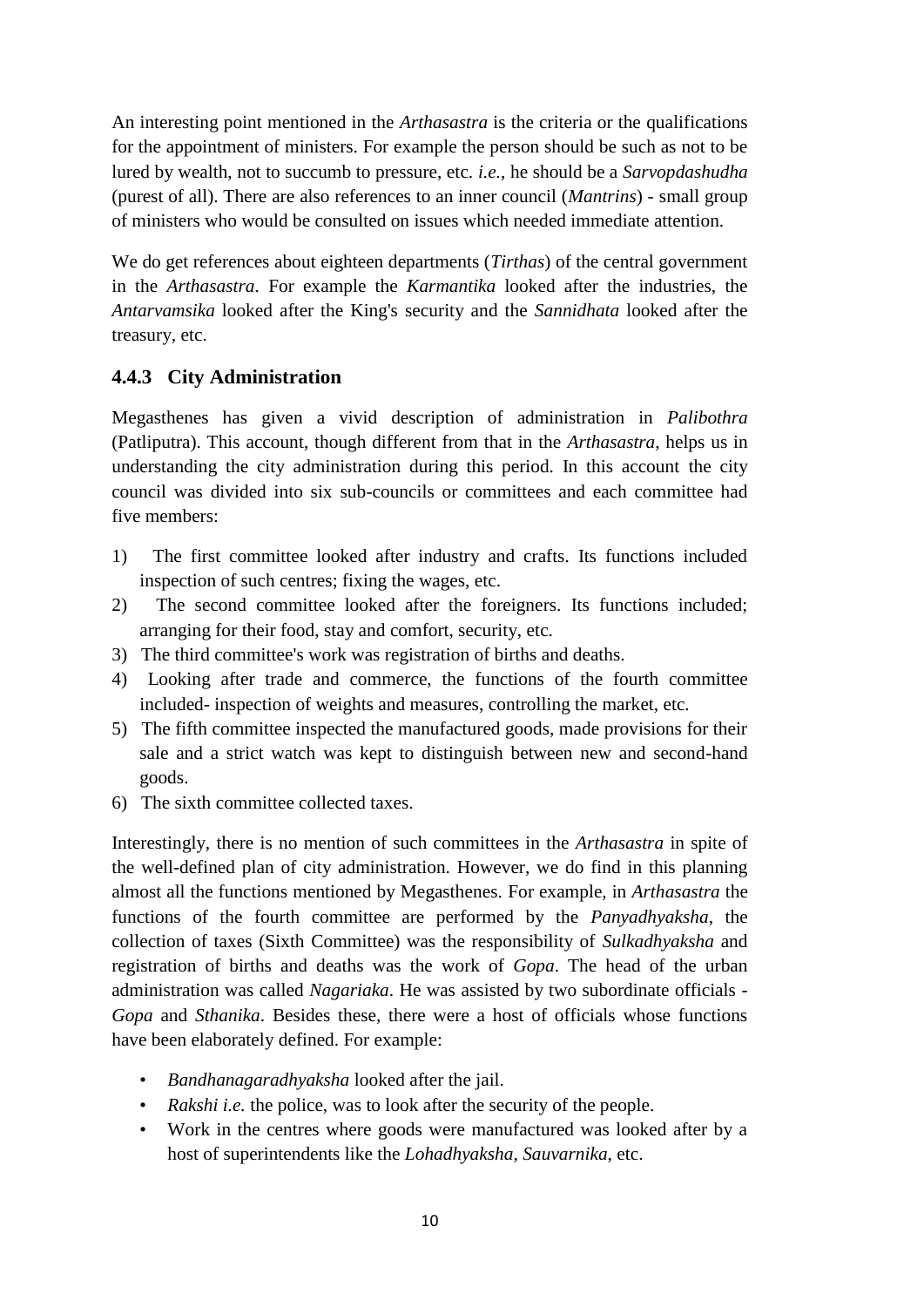*Mahamatras* who looked after religion. Their appointment, it appears, could be made both by the King as well as the Kumara. Another category of high officials was that of Amatyas. This category too must have held special powers for it was against their arbitrary actions that the people of Taxila revolted during the reigns of Bindusara and Asoka.

### **4.5.2 District and Village Level Administration**

The administrative units included a set up at the district level consisting of a number of villages and at the same time each village had its own administrative unit. The officials listed at the level of district during this period were *Pradeshta*, *Rajuka* and *Yukta*, the former being the overall in-charge of the district. Their functions included:

- survey and assessment of land,
- tours and inspections,
- revenue collection, and
- maintaining law and order, etc.

At times, the King was in direct touch with these officers. For example, in the  $4<sup>th</sup>$ Pillar Edict -Asoka grants to the *Rajukas* "independent authority" to carry out some of his instructions in relation to public welfare. He also vested in them certain powers which they might not have had earlier. The Yukta was a junior officer giving secretarial kind of assistance to the other two. There were also checks and balances on the powers of each category of officials.

The Asokan edicts, however, do not throw much light on village level administration. But there are references of administration in the *Arthasastra*. It appears that the officials at this level were local people appointed and assisted by the villagers. The term mentioned for such officials is *gramika*. The set up at this level must have varied according to local conditions. But we do find *Gopa* and *Sthanika*, two types of officers, acting as intermediaries between the district and village level administrative units. Their functions included:

- demarcating village boundaries,
- maintaining records of lands used for various purpose,
- recording income and expenditure of people, and
- recording taxes, revenues and fines, etc.

But the villages did have a certain amount of autonomy in administering their affairs.

It is clear that the Mauryan state employed a large number of officials at all levels of administration. An important aspect worth noting for this period is the payment of salaries in cash. We have references to a commander-in-chief receiving 48,000 *panas*, a soldier receiving 500 *panas* and a labourer 60 *panas*. This indicates the predominance of money economy and at the same time tremendous burden on the state treasury. This perhaps explains the obsession in the *Arthasastra* with the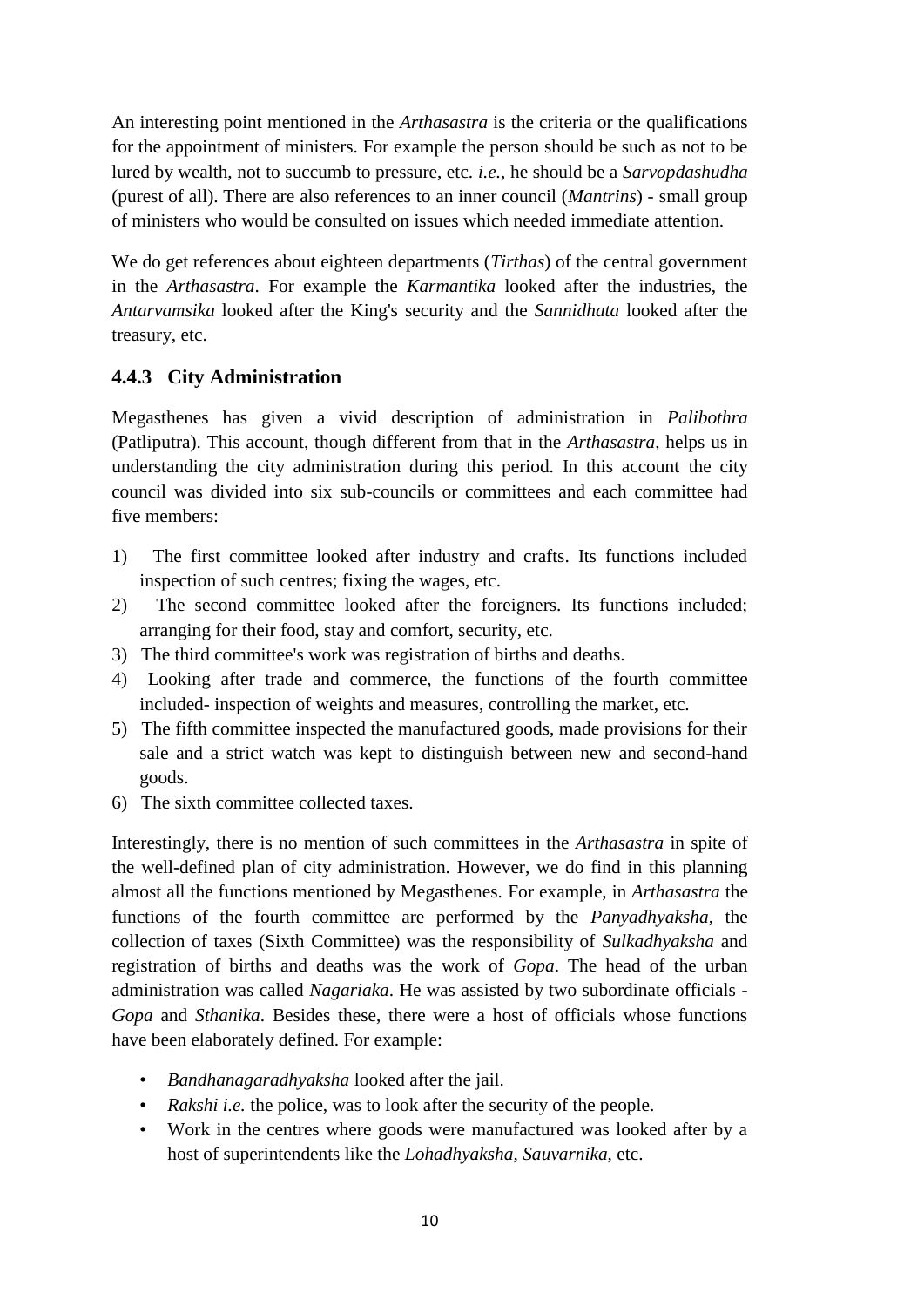problem of extracting and generating revenues and taxes from land revenue to tax on gambling, etc.

#### **Check Your Progress 2**

- 1) Which of the following statements are right or wrong? Mark  $(\sqrt{\ })$  or  $(\times)$ .
	- a) The state's efforts to increase its revenues contributed towards the expansion of Magadha. ( )
	- b) According to *Arthasastra* the Council of Ministers verdict was final before the King. ( )
	- c) The adoption of a paternal attitude towards his subjects was a new development in relation to King's attitude in Indian polity. ( )
	- d) There is no description of city administration in the account of Megasthenes. ()
	- e) The King was central to the seven components of the state in Kautilya's scheme. ( )
	- f) The Mauryan state spent a huge amount on the maintenance of army. ( )
	- g) The Mauryas had no system of espionage. ( )
	- h) During this period there were certain rules and regulations for the functioning of courts. ( )
	- i) The King had no right to grant revenue remissions. ( )
	- j) The state spent money for public welfare. ( )

#### 2) Fill in the blanks:

- a) The Mauryas had a ......................... (simple/complex) form of administration.
- b) By adopting the title *Devanampiya* Asoka tried to ......................... (establish a/delink the) connection between the king and ................. (earthly/devine) power.
- c) According to Megasthenes the City Council was divided into ................... (three/six) sub-committees of .......................... (two/five) members each.
- d) The *Arthasastra*has ......................... (elaborately/minutely) defined the functions of various officials.
- e) The provincial administration was headed by …………………. (*Amatya*/ *Kumara*).
- f) At the village level judicial powers were vested in ……………….. (Pradeshtat/Gramik).
- g) State control over mines ……………………. (decreased/increased) its sources of revenue.
- 3) Discuss in about ten lines the relations between the King and the Council of Ministers…

…………………………………………………………………………………… …………………………………………………………………………………… ……………………………………………………………………………………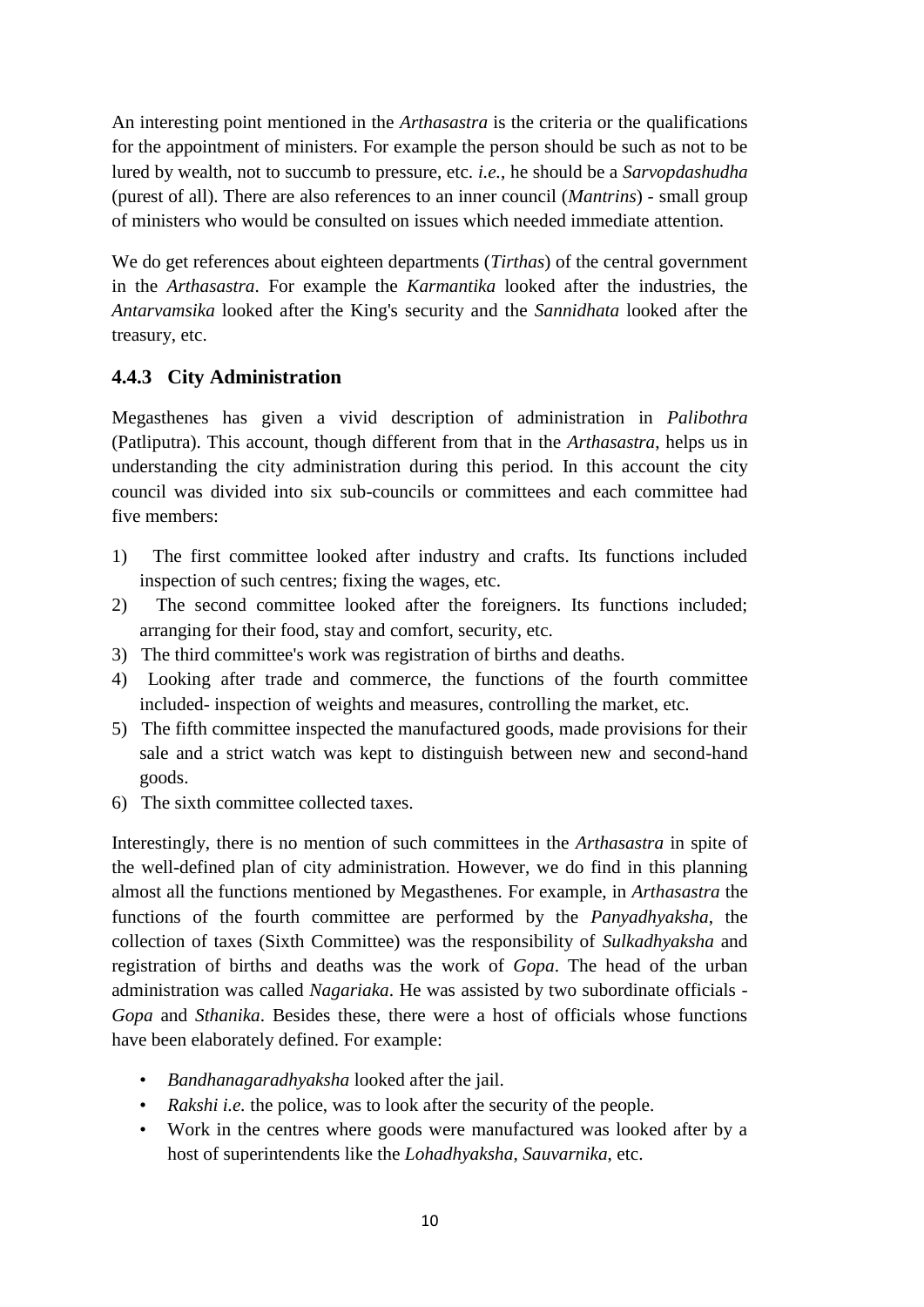……………….............…………………….……………………………………… …………………………………………………………………………………….. ......………………………………………………………………………………… …………………………………………………………………………………….. …………………………………………………………………………………….. ……………….…………………………………………………………………….

4) On what basis we can say that the Mauryan city administration was well organised? Write in about ten lines.

 $\mathcal{L}^{\text{max}}$ …………………………………………………………………………………… …………………………………………………………………………………… ……………….............…………………….……………………………………… …………………………………………………………………………………… ……………………………………………………………………………………  $\mathcal{L}^{(n)}$ …………………………………………………………………………………… …………….………………………………………………………………………

5) Discuss in about ten lines the sources of revenue and expenditure of the Mauryan state.

…………………………………………………………………………………… …………………………………………………………………………………… …………………………………………………………………………………… ……………….............…………………….……………………………………… ……………………………………………………………………………………  $\mathcal{L}^{(n)}$ …………………………………………………………………………………… …………………………………………………………………………………… …………….………………………………………………………………………

6) List in five lines the main features of village administration

………………………………………………………………………….............… ………………….………………………………………………………………… …………………………………………………………………………………… …………………………………………………………………………………… ………………………………………………........................................................

### **4.6 LET US SUM UP**

In this Unit we have attempted to introduce to you the details on the rise and territorial expansion of Magadha. It is hoped that after going through this Unit you have been able to learn: details pertaining to the origin of the Mauryan family and their early history, the expansionist policies of Chandragupta Maurya and Bindusara,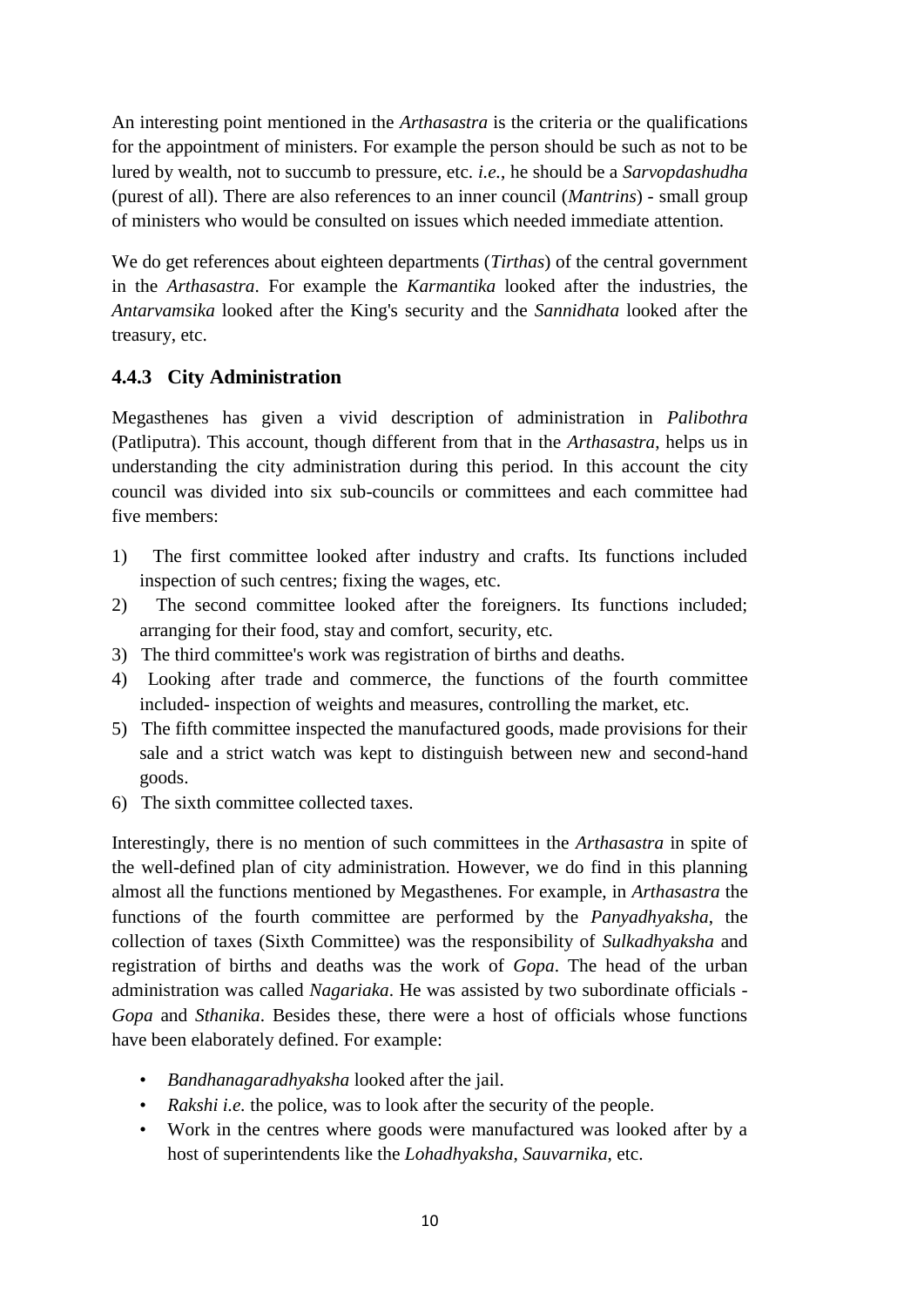issues surrounding the accession of Asoka Maurya and his activities upto the Kalinga War, and Mauryan administrative set up at the central and provincial level.

### **4.7 KEY WORDS**

| Dhamma/Dharma:         | Literally 'universal order' but in its use in Asokan<br>inscriptions it is translated to mean 'piety'.                                                          |
|------------------------|-----------------------------------------------------------------------------------------------------------------------------------------------------------------|
| Sophist:               | A philosopher, literally 'one meant to deceive'.                                                                                                                |
| <b>Espionage:</b>      | spy system                                                                                                                                                      |
| <b>Surplus:</b>        | Amount left over when all consumption requirements have<br>been met. In an economic sense the difference between the<br>value of goods produced and wages paid. |
| Uttarapatha:           | Northern route usually referring to the land route running<br>along the foothills of the Himalayas.                                                             |
| <b>Vice-royalties:</b> | administrative units under the jurisdiction of a Viceroy<br>appointed by the King                                                                               |

### **4.8 ANSWERS TO CHECK YOUR PROGRESS EXERCISES**

#### **Check Your Progress 1**

**1)** (a)  $\times$  (b)  $\times$  (c)  $\times$  (d)  $\times$  (e)  $\times$ **2)** See Sec. 4.2

#### **Check Your Progress 2**

- **1)** (a)  $\checkmark$  (b)  $\times$  (c)  $\checkmark$  (d)  $x$  (e)  $\checkmark$  (f)  $\checkmark$  (g)  $x$  (h)  $\checkmark$  (i)  $x$  (j)  $\checkmark$
- **2)** (a) Complex (b) Establish a; divine (c) Six; five (d) Elaborately (e) Kumara (f) Gramika (g) Increased
- **3)** See sub.sec 4.4.2
- **4)** See sub.sec 4.4.3
- **5)** See sub.sec 4.4.7
- **6)** See sub.sec 4.5.2

### **SUGGESTED READINGS**

Allchin, B. and Allchin, R., 1988. *The Rise of Civilisations in India and Pakistan*, New Delhi.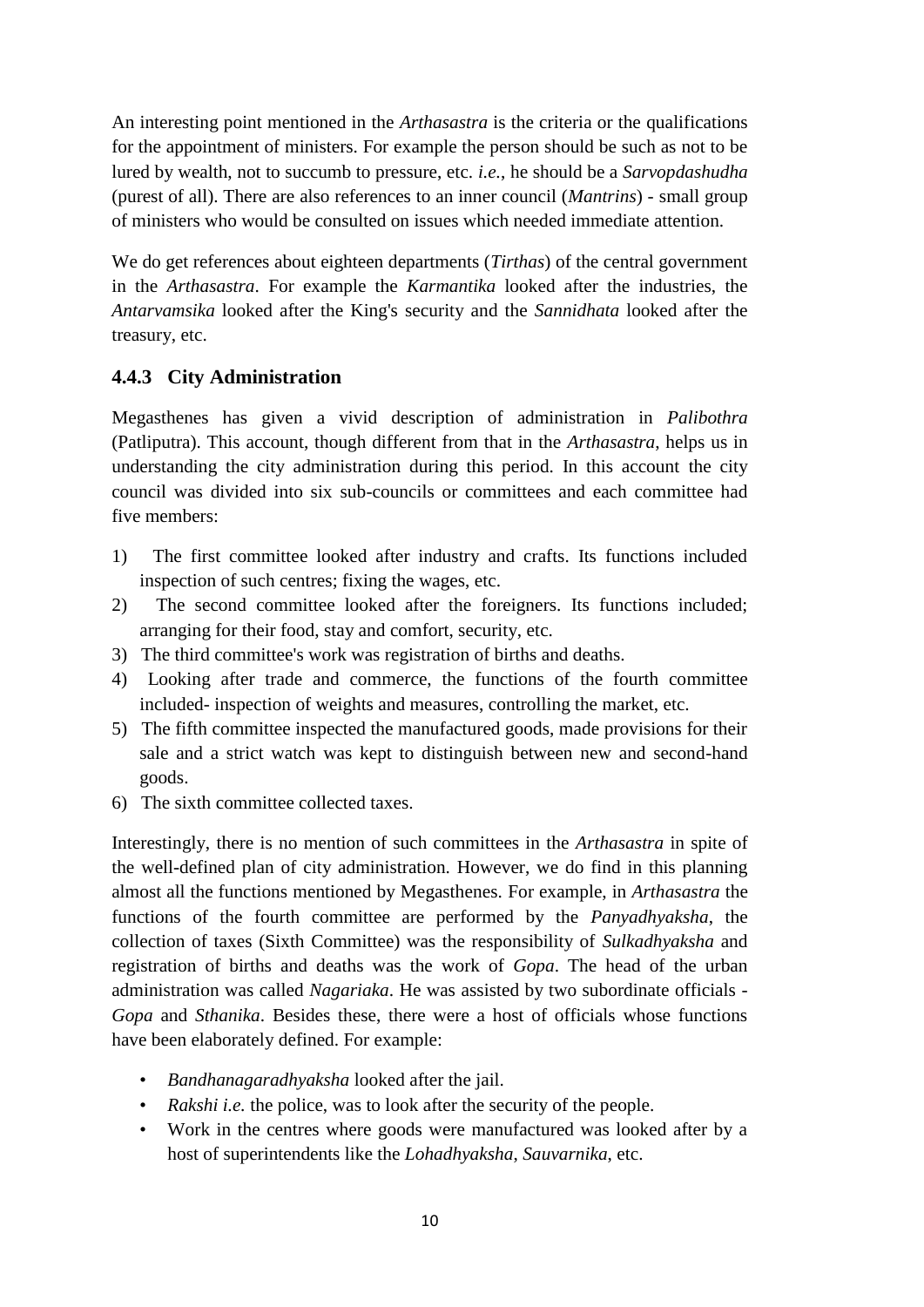- Sharrna R.S., 1983. *Material Cultures and Social Formations in Ancient India*, New Delhi.
- Singh, U., 2009. *A History of Ancient and Early Medieval India – From the Stone Age to the 12th Century*, Delhi: Pearson.
- Tripathi, R.S., 1942. *History of Ancient India,* Delhi: Motilal Banarsidas.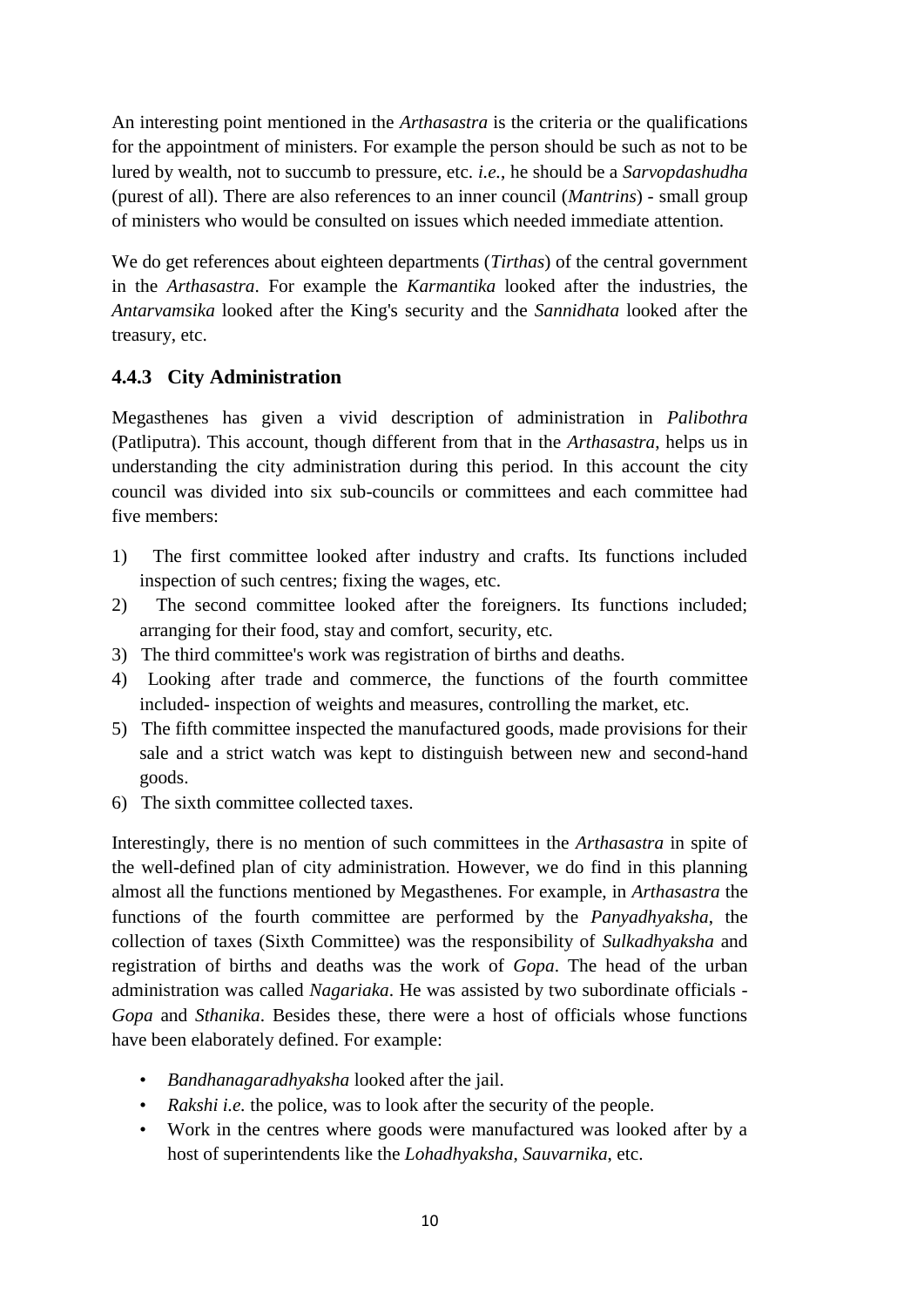# **UNIT 5 : POST-MAURYAN POLITIES: KUSHANAS AND SATAVAHANAS**

#### **Structure**

5.0 Objectives

5.1 Introduction

5.2 Kushanas

5.2.1 Nature of Kushana State

5.3 Satavahana

5.3.1 Nature of Satavahana State

5.3.1.1 Socio-Economic and Political Background

5.3.1.2 Administrative Structure of the State

5.4 Let Us Sum Up

5.5 Key Words

5.6 Check Your Progress Exercises

### **5.0 OBJECTIVES**

After going through this unit, you will be able to :

- analyse the rise of new kingdoms in the post-Mauryan period.
- understand the political development that took place under Kushana and Satavahana dynasties.

# **5.1 INTRODUCTION**

After the Mauryas a large number of big and small kingdoms emerged in different parts of Indian subcontinent. The Sunga dynasty succeeded the Mauryas at Magadha, the Satavahanas emerged as a great power in the Deccan. The Indo-Greeks, the Sakas, the Parthians and the Kushanas also ruled over several territories in India. The intermingling of various races, Indian as well as foreign had far reaching consequences on the social and cultural life of India. In this unit we are going to discuss the rise of two important powers in the Indian history and their impact *i.e.*  Kushanas and Satavahanas.

### **5.2 KUSHANAS**

The Kushana Period is one of the most important periods in the history of Indian culture. According to Chinese historians, the Kushanas were a section of the *Yuchchi* race. They established their rule in the North-west part of India after destroying the Saka empire. They also made a significant contribution to the art and religion of the Country.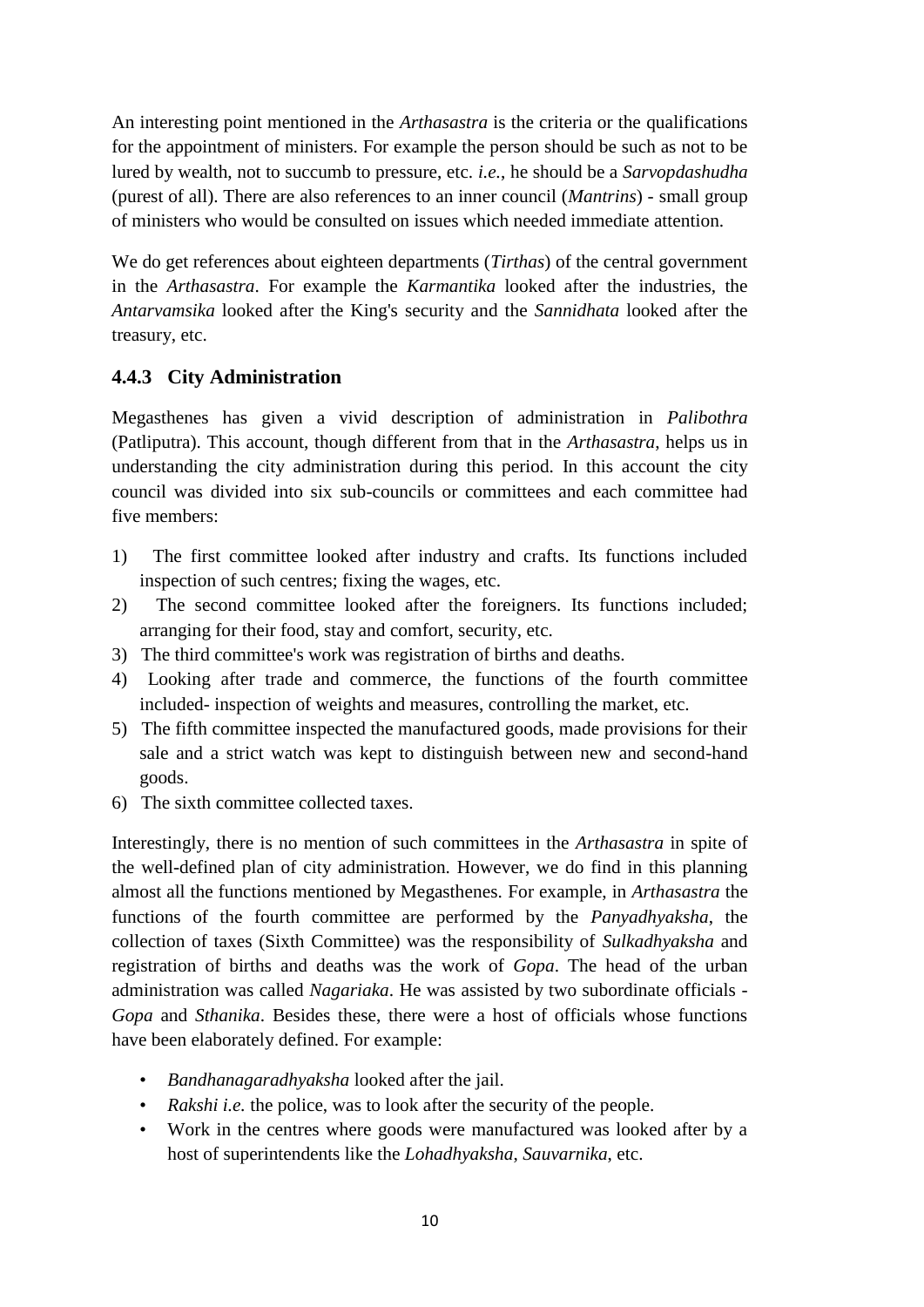The first powerful ruler of the Kushana dynasty was Kujula Kadphises. He established an empire which extended between the rivers of Oxus and Sindh. His empire comprised Bactria, Afghanistan, East Iran and the North Western part of India. It is evident from his coins that he defeated the last Yavana ruler and extended the Kushana empire up to Taxila. His period of rule was full of struggles and wars.

Vima Taktu was the son and successor of Kujula Kadphises. However, except his name from Rabtak inscription nothing is known about his life and carrier. He was succeeded by his son Vima Kadphises, who was a brave and courageous ruler. He extended his empire from Taxila to many parts of Northern India. He followed the imperialistic policies of his father. His empire touched the boundaries of Roman empire in the West, China in the North and the Satavahana kingdom was situated in the South-East. He issued a large number of coins which tell about the power and religion of Vima Kadphises. He adopted the tittles of '*Maheshvara'*, '*Sarva*-*Lokeshwra'*, '*Maharaja'* etc.

Vima Kadphises was succeeded by Kanishka, who was undoubtedly the greatest king of all the Kushana rulers in India. The most reliable year of the accession of Kanishka was 78 CE. According to the historians, Kanishka started a new era in this year. He incorporated Rajasthan, Punjab, Malwa, Saurashtra and Uttar Pradesh into his ancestral kingdom. The most significant event of the Kanishka's reign was the war with China and conquest of three Chinese Provinces namely Khotan, Kashgar and Yarkand. Kanishka was influenced by the natural beauty of Kashmir. He conquered Kashmir and annexed it to his empire. He also laid the foundation of a town Kanishkapur in the memory of his conquest. He believed in the divine right of Kingship. He ruled in an autocratic manner. But he had to share power in practice with his provincial satraps. The provincial satraps probably enjoyed good deal of local autonomy. It was a common practice of the Kushana emperors to appoint the crown prince as co-ruler.

According to noted historian N.N. Ghose, "*Kanishka was a foreigner by birth, but an Indian by choice and a devouted Buddhist of Mahayana school by faith*". A galaxy of great scholars such as **Asvaghosha**-the Buddhist writer, **Nagarjuna**- the philosopher, **Mathara**- the politician, **Vasumitra**- the Buddhist scholar, **Charaka**the physician adorned the Court of Kanishka. The coins of Kanishka point to the gradual transformation of his religious belief towards Buddhism. According to the legend, Kanishka came in contact with **Asvaghosha** and was very much impressed by his teachings. During his reign, the famous Fourth Buddhist Council was convened in Kashmir and the convocation was presided by **Vasumitra**. The purpose of the Council was to codify and collect different views on Buddha's teachings and to write commentaries on them in the light of new developments.

#### **5.2.1 Nature of Kushana State**

The geographical spread of the Kushana coins and inscriptions as well as the richness of the Kushana layers in terms of archaeological material found in various sites from Central Asia to Varanasi would on the face of it suggest the existence of a well organised, centralised state. However, the available administrative details appear to be far from satisfactory. It is said that the political organisation did not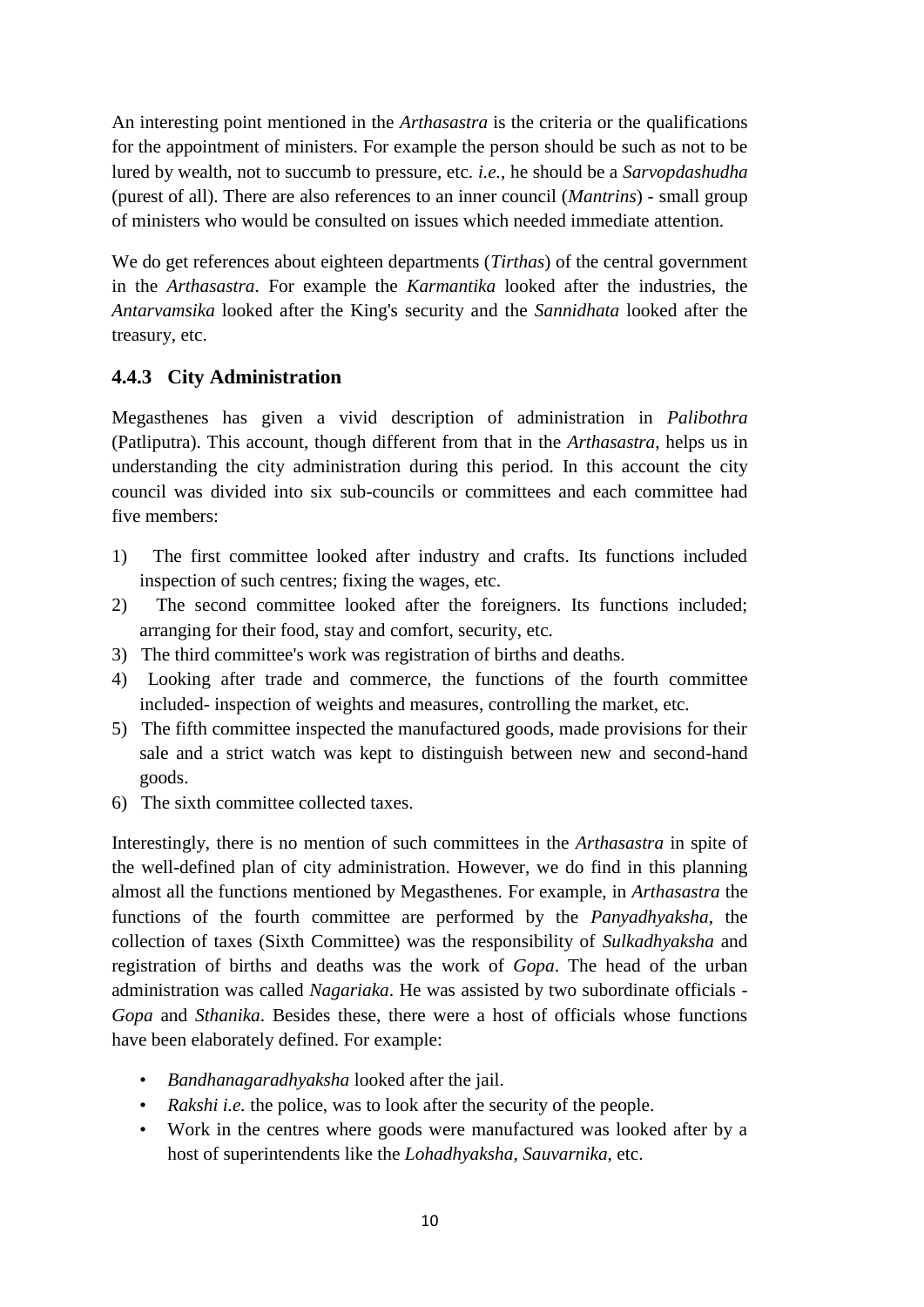possess the rigid centralisation of the Mauryas. The inscriptions and coins do not indicate a powerful and large administrative machinery. We however, come across grandiloquent titles of the rulers such as maharaja, *ratatiraja* (king of kings), devaputra (son of God), etc. Kanishka and his successors used the title *shaonanosha*o (*shahanushahi* being its Persianized form) as a prefix to their names on the coin legends. Even the epithet Kaiser or Kaisara was used. Kanishka, for example, in an inscription at Mathura represents himself as *maharaja-rajatiraja-devaputra-shahi*. The Kushana titles on the one hand suggest their superior position in relation to other petty rulers and chieftains and on the other point to the possible influences which went into their making. While maharaja was an old Indian title, encountered as early as the Hathigumpha inscription of Kharavela, *rajatiraja* was of Sanskrit origin and had been used by the Sakas. The term devaputra being close to the Chinese idea of "mandate of heaven" may have had something to do with such influences.

The details of provincial and local administration are hazy. It is doubtful if the Kushanas exercised direct administrative control over all parts of their territories. Below the king there seems to have been the Kshatrapas at the provincial level. It has been suggested that there were about five to seven satrapies. Contemporary sources do not provide sufficient information about such administrative units or the Kshatrapas themselves. The Sarnath Buddhist image inscription of the time of Kanishka refers to the reinstatement of two Kshatrapas who were the descendants of a Mahakshatrapa. In some cases people erected a stupa and sangharama in honour of the kshatrapa. This was analogous to the system of giving religious donations to ensure the well-being of the Kushana kings. Such evidence points to the autonomous status of the Kshatrapas. There are references to vishayas as administrative units and the grama at the bottom of the hierarchy constituted the basic unit of administration. We come across terms like Dandanayaka and Mahadandanayaka, offices which combined civil and military functions, and the Kshatrapas seem to have exercised their power through these officials. However, as in the case of the Kshatrapas here too their territorial jurisdiction and functional aspects are far from clear. There are references to some other officials like bakanpati (incharge of religious affairs), danapati (to do with donations) and the padrapala, who looked after uncultivated land around the villages. In the region of Mathura the gramika as the village headman seems to have looked after the maintenance of local law and order. The importance of the institution is also borne out by other contemporary references. Manusmriti refers to the term gramasyadhipati and in the Shanti parva we come across the expression gramadhipati. The Kshatrapas were also known as gramasvami. All these indicate the importance and authority of the village headmen. The guilds similarly may have played an important role in the administration of urban centres.

For analyzing the political system, the administrative details are rather insufficient. How the different levels of administration related to one another is not known. Given the small size of the administrative machinery and the abundance of Kushana coins, particularly in gold and copper, it is said that the officials would have been paid in cash. Deriving from the autonomy of the Kshatrapa and the use of such terms as *rajatiraja*, *Mahakshatrapa* and *Mahadandanayaka*, denoting the existence of lesser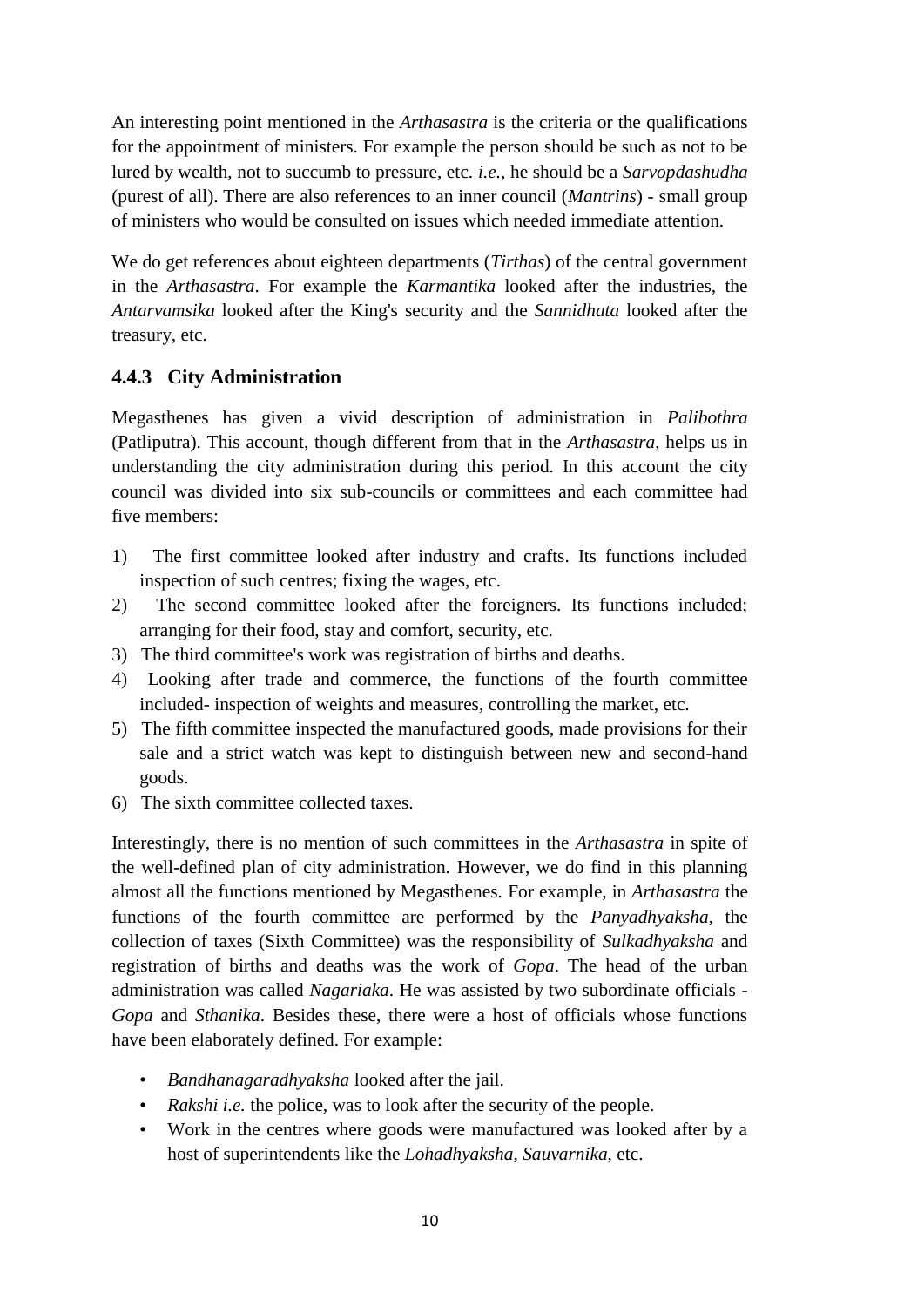rulers, there have been efforts to look for feudatory relations in the Kushana polity. It may be mentioned that instead of invoking such parallels (viz. feudatory relations) one may, as in the case of the Sakas, see it as an incorporative political system.

The pre-occupation of the Kushanas with the legitimation of their power and their non-sectarian, broad-based syncretic religious policy in the background of the paucity of information related to administration raises questions which have a bearing on the nature and structure of the Kushana state. To elaborate, the Kushanas used high-sounding titles derived from a variety of cultural contexts. Titles like devaputra unmistakably sought to link them with divinity. This aspect is further elaborated in their coins. The obverse of the Kushana coins shows the king engaged in rituals before a fire altar, his bust emerging from the clouds, flames emanating from his shoulders or a nimbus or halo around his head. The context in each case is clearly supernatural. The evidence for religious donations by people for the wellbeing of the kings and the institution of devakulas under the Kushanas, involving the housing of the statues of dead rulers in temple like structures, together suggest the efforts towards bestowal of divinity status to the kings or conferring of this status to the kings. The reverse of the Kushana coins bear Indian (Hindu and Buddhist), Greek and Persian symbols and deities, indicating their syncretic religious ideology. It may be of interest to note that there is archaeological and epigraphical evidence to show that numerous later day Hindu sects associated with Saivism and Vaishnavism thrived along with Buddhism and Jainism under the Kushanas in northern India. The Kushanas seem to have accepted and reinforced the assimilative nature of Indian socio-religious and political system.

Turning to the socio-cultural situation obtaining within their empire one observes the prevalence of numerous languages, religions and cultures. The population in Bactria was already composite by virtue of having integrated varied influences. North Indian society was characterised by rich diversity, the Upper and Middle Gangetic plains being different from the ancient Punjab. In the Punjab and adjoining regions there were a number of Gana samghas, which outlived the Kushanas and continued up to the Guptas, suggesting the existence of varied socio-economic and political patterns. The official language of the Kushana state was Bactrian written in Kushanised Greek script. Sanskrit too was in use and records were written in Brahmi and Kharosthi as well. A coin of Kanishka found near Termez on the Oxus bears legends in Bactrian on the obverse and Sanskrit on the reverse. The extensive territory of the Kushanas inhabited by various ethnic groups, speaking different languages and practising diverse religions made it necessary for the state to adopt a liberal and accommodative approach.

The Kushana state characterised by ethnic, linguistic and cultural pluralism tried to integrate varied groups by being non-sectarian accommodating variety and developing a syncretic ideology. Thus, the state tried to sustain and perpetuate itself by being responsive to the aspirations of diverse groups. That explains the adoption of multiple royal titles and the accommodation of numerous deities from various traditions, across the empire. The Kushana titles and motifs on the coins show how zealously they tried to legitimize their rule.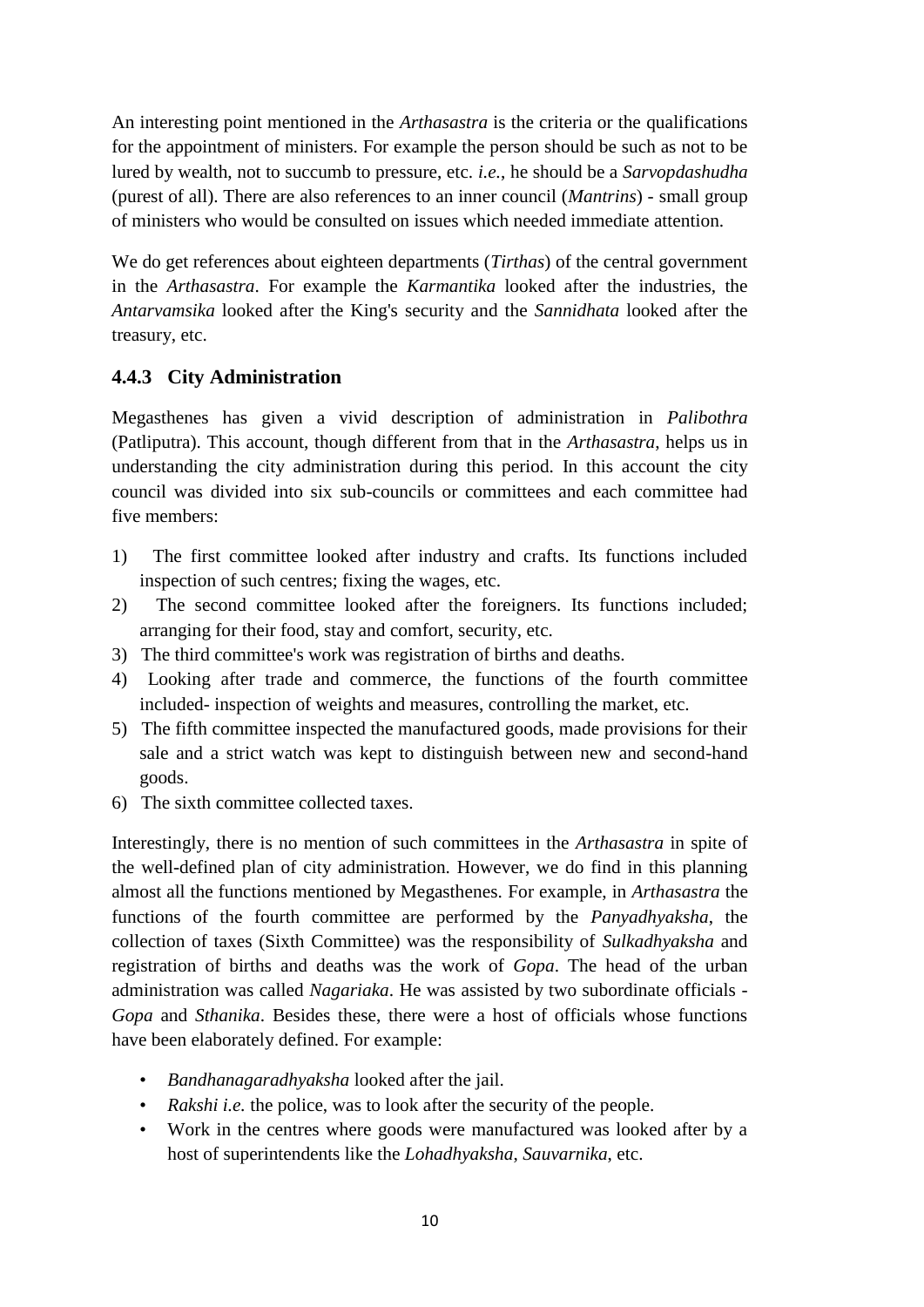With the establishment of Kushana power in Gandhara and Indus region the land trade from Ganges to Euphrates and sea trade across Arabian sea and Persian Gulf to Rome flourished and expanded. The silk route passed through Kushana territories in central Asia and it was linked with China and Asian provinces of Roman Empire. Kushanas might have imposed tolls on caravans passing through this route. Kushana gold and copper coins indicate that internal trade flourished under them. Kushana rule let to the establishment of new settlement with an admixture of population. This must have led to mobility in society and with the increase in the number of crafts and guilds and growth of foreign trade the rigidity of the caste system weakened especially in the trading ports and towns. Kushanas had established trade links with the Romans. The adoption of the title Caesar (Kaisarasa) in the Ara (Attock) inscription of the year 47 throws light on Kushana contacts with the Romans. Both the Kushanas and the Romans minted gold coins to be used in trading transactions. Kushanas were the beneficiaries in this trade. They also established trading relations with South East Asia, China and Central Asia in this period. There is no evidence for state monopoly in any sector of the economy nor for that matter state intervention in day-to-day economic transactions. It seems to have been a non-intrusive state allowing for a good measure of autonomy at various levels. However, it did play an important role in encouraging trade and other commercial activites. Under Kanishka and his immediate successors integrative forces seem to have prevailed over tendencies to fission or break away. If the Kushanas borrowed aspects of political ideas and organisation from their predecessors and contemporaries, their coinage, titles and images, sculptures, kingship, including the deification of the ruler, influenced the Guptas and other polities in early medieval India.

The rulers of Kushana dynasty were great patrons of art. Kanishka's reign is a landmark in the realm of art and architecture. Four eminent schools of sculpture developed from four centres. They were Sarnath, Mathura, Amravati and Gandhara. Each school of sculpture had a separate style of its own. The Gandhara school had a significant progress in Kanishka's reign. In art, the reign of Kanishka is marked by the growth of two distinct styles, one Indian and the other exotic. The Indian style is represented by the headless statue of Kanishka at Mathura and the image of Buddha found at Sarnath. The exotic school known as Gandhara art was the Graeco-Roman art applied to Buddhist subjects found in Gandhara region. The Gandhara art flourished on Buddhist theme.

#### **Check Your Progress 1**

1) Read the following statements and make right *(√)* or wrong (×). ,

- i) The Kushanas belonged to the Yueh-chi Tribe. ( )
- ii) Vima Kadphises was the father of Kanishka. ( )
- iii) Kanishka was a follower of Buddhism. ( )
- iv) Gandhara is located in south India. ( )
- v) Mathura was famous for Graeco-Roman art. ( )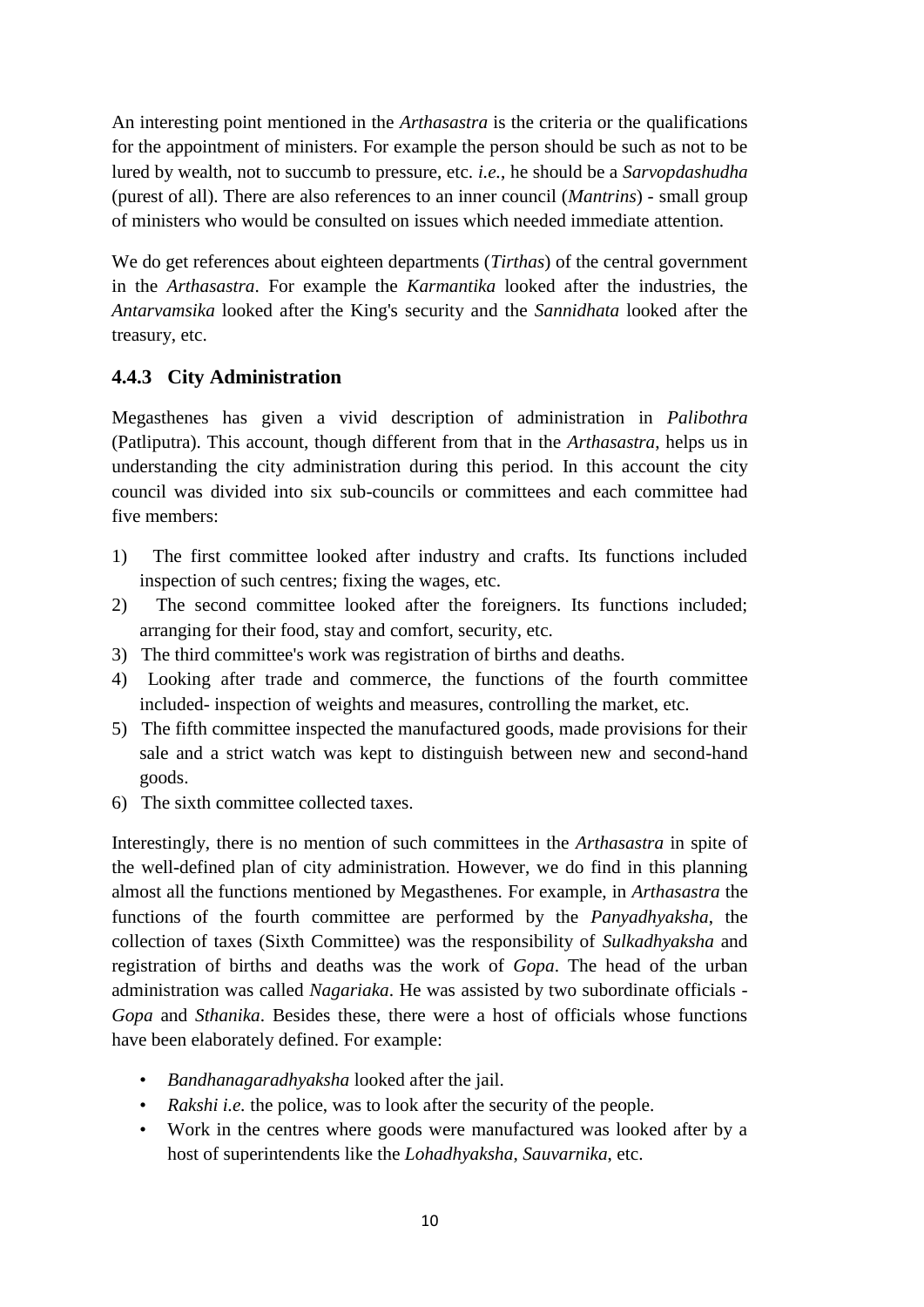2) Who were the Kushana? Give an account their important rulers. Answer in five lines.

........................................................................................................................................ ........................................................................................................................................ ........................................................................................................................................ ........................................................................................................................................ ........................................................................................................................................

3) Discuss the rule of Kushana dynasty. Answer in ten lines.

........................................................................................................................................ ........................................................................................................................................ ........................................................................................................................................ ........................................................................................................................................ ........................................................................................................................................ ........................................................................................................................................ ........................................................................................................................................ ........................................................................................................................................ ........................................................................................................................................

# **5.3 SATAVAHANA**

The earliest dynastic rule in peninsular India was that of the Satavahanas. In history dynastic rule or monarchy is generally equated to the state and it is valid so long as the former is found resting on class structured societies. The state is found only in a differentiated economy or stratified society. However, until recent years the term, state was used in Indian historiography without such theoretical presuppositions. Earlier on historians recounted the history of the dynasty with a ruler wise focus on the nature of administration and they debated over the dates of succession. Later when historians tended to be theoretical, the debates revolved round theoretical models. The former viewed the Satavahanas as an independent state while the latter theorised it a Mauryan transplant or a secondary formation. Now the debate is about the degrees of theoretical rigour. In the most rigorous sense of the theory, the origin of the state is not external for it is integral to the society's internal dynamic. Naturally the state gets neither diffused nor transplanted. It is inevitably *sui generis*. So the concept of secondary state formation is a misnomer.

### **5.3.1 Nature of Satavahana State**

The Satavahana state, as in the case of any other state, has to be studied against its socio-economic background and hence at the outset, it is imperative to characterise the social formation and examine the institutional features of the political process therein. Unfortunately, the existing historiography hardly gives enough knowledge about the life of the people in those days to characterise the social formation. However, it is important for a student studying the discipline to know the available knowledge and use it for understanding the process of state formation.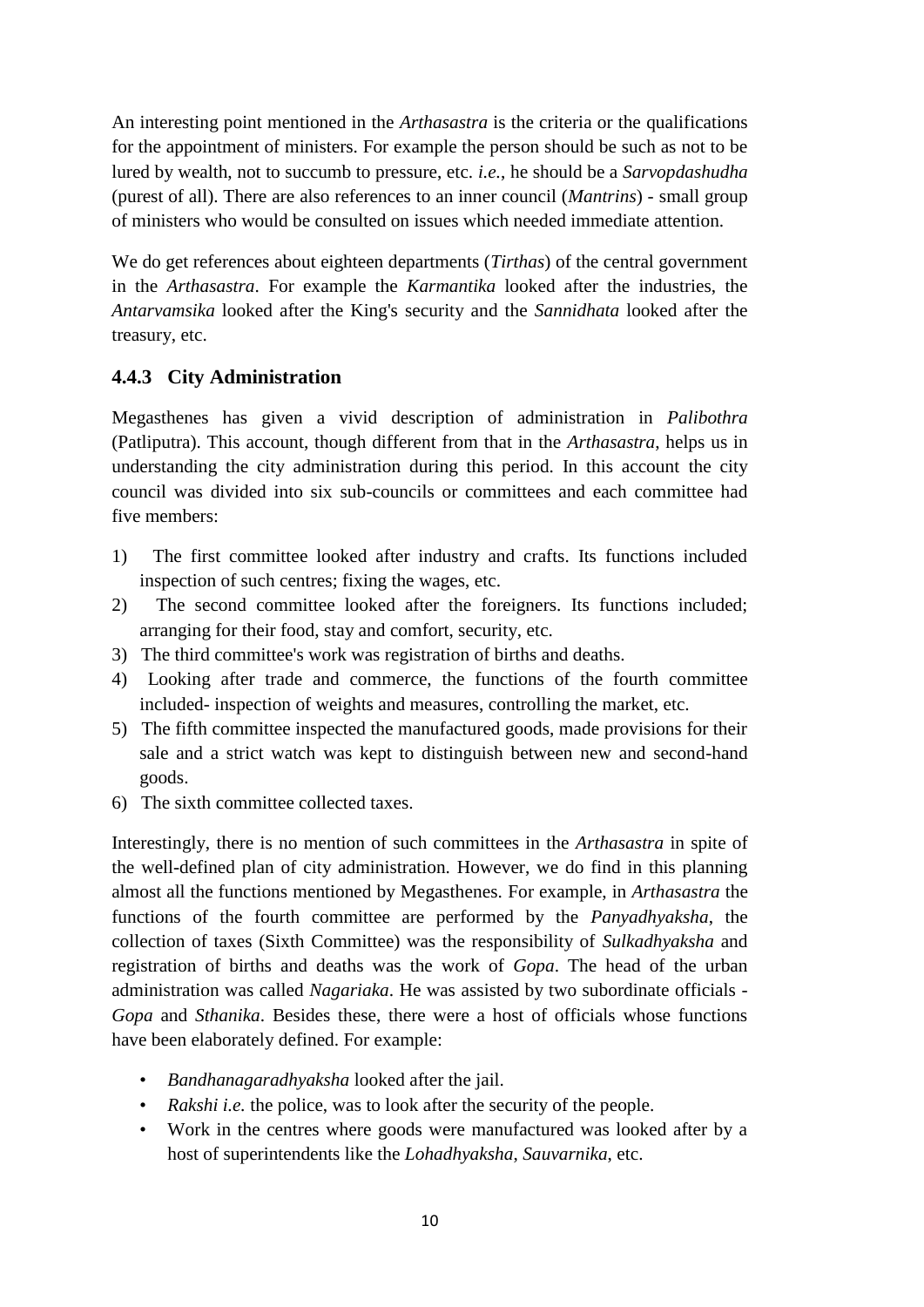#### **5.3.1.1** *Socio-Economic and Political Background*

By third century BCE the Krishna-Godavari valleys had witnessed the rise of agrarian localities of paddy cultivation as the place name Dhanyakataka or Dhamnakada suggests, presupposing specialisation of arts and crafts, trade networks, urban enclaves, social differentiation and the entailing political processes. However, it was obviously not more than a simple hierarchy of the landed households (*gahapati-s*) and their servants (*dasas and bhrtaka-s*) at the level of production relations. The agrarian localities were small compared to the large uplands and forest tracks inhabited by the 'tribal' people who constituted the majority. Paithan was the region's nerve centre of economic activities and its strategic importance in the context of trade and urbanism also accounts for its Buddhist and Jain importance as well as the Mauryan political control. The ports of transmarine commerce, such as Barygaza, Supara and Kalyan added to the region's significance. The Mauryan control in its turn further enhanced its importance and in the process over the years, gave rise to a local ruling aristocracy transcending the structure of the 'tribal' political relations. It is out of this aristocracy that the line of the Satavahana rule began. In short, the historical context of the emergence of the Satavahana state relates to the differentiated economy and stratified societies in the Krishna-Godavari valleys.

Some twenty-four inscriptions and a few hoards of coins besides literary references mainly including the Jain and Buddhist accounts, and puranic genealogies constitute the main sources of Satavahana history. The rule persisted under about 30 kings covering roughly four and half centuries from around 234 BCE down to 207 CE. Needless to say that there would be gaps and discontinuities in the royal genealogy covering such a long span of centuries. There were interruptions of the Scythians, Greeks and Parthians.

King Simuka, probably also called Satavahana as the Jain tradition shows, was the founder of the dynasty. Like many a dynastic name, Satavahana is variously interpreted and there is no consensus as to how it derives its meaning. The term *sata* means *dana* (gift) and *vahana*, the bearer seem to make better sense than other derivations that scholars have put forward. All the puranas agree on the fact that Simuka's reign lasted 23 years. He seems to have caused the construction of Jain *basati-s* and Buddhist Caitya-s. Simuka's brother Kanha (Krishna) who ascended the throne as the next king, extended the kingdom to Nasik if not beyond. His reign seems to have lasted 18 years. Siri Satakani (Satakarni), son of Krishna was the next king after whose title most of the Satavahana rulers came to be known, as exemplified by Cakora Satakarni, Mrgendra Satakarni, Gautamiputa Sri Yajna Satakarni and so on. Satakarni is another curious name like Kumbhakarna, Jatikarna, Lambodara, and the like that defies easy derivation. Hathigumpha inscription refers to Kharavela of Kalinga to have sent his army to the west disregarding Satakarni. The synchronism of Kharavela with Satakarni has enabled historians to determine the latter to have a contemporary of Kharavela. Apilaka and Hala are two other important successors in the line. Hala's reign witnessed the heyday of economic growth, military exploits and cultural achievements.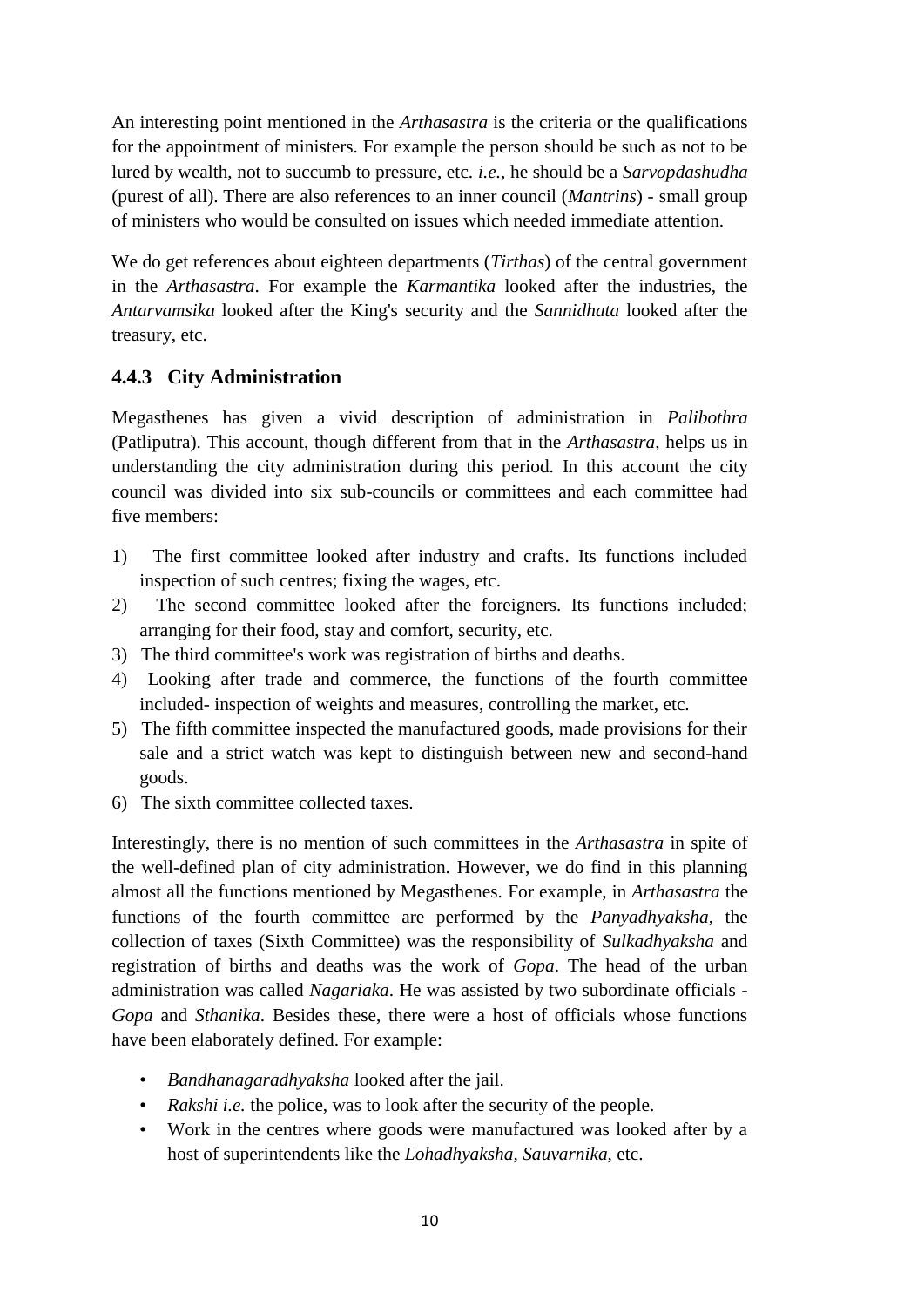The Satavahana rulers were patrons of both sramanas and brahmanas. The construction of Jain and Buddhist monuments earned them religious merit and higher status while the conduct of vedic rituals and *mahadanas*, legitimacy as kshatriyas. It is striking that the Satavahanas maintained *gotra* names of the Vedic brahmanas. They were followers of matrilineal system or the cross-cousin system of marriage, especially with father's sister's daughter. However, their succession followed the system of patriarchal inheritance.

The Satavahana reign got interrupted by the Sakas, Kushanas, Parthians, Yavanas etc. The Kshatrapa Nahapana's coins as well as the epigraphs at Nasik and Karle show that the Nasik and Pune Districts had become part of Nahapana's kingdom, obviously captured from the Satavahanas. It appears that during the period of the later Satavahanas, the kingdom shrank itself to the region around Paithan. Soon Gautamiputra Satakarni restored the large extent of the kingdom and enlarged it further up to Vidarbha, Rajaputana, Malwa and northern Konkan. In the south it extended up the Kanarese country. Gautamiputra was succeeded by Vasishtiputra Pulumavi who ruled for 24 years. According to the puranic genealogy, the next Satavahana king was Siva Sri Satakarni followed by Sivamaka Sada, Madhariputra, Sri Yajna Satakarni, Vasishtiputra Cada Sati and Pulumavi-III. It is believed that the line of rulers came to an end with Pulumavi-III.

#### **5.3.1.2** *Administrative Structure of the State*

The Satavahana state was structured by the dominance of the monarch, a miniature variant of the Kautilyan *vijigishu* assisted by a team of *amatyas*, *senapatis*and*dandanayaka*-*s*. It seems to have incorporated chieftains of the agrarian localities as *samanta-s* and of 'tribal' zones as *rathika-s* and *bhoja-s*. Epigraphs mention *mahasamanta*, *maharathika*, *mahabhoja*, *mahasenapati*, and *mahadandanayaka* showing that they worked as higher level constituents of a hierarchical structure. This is not to suggest that it was a well-organised bureaucracy with defined structure and function. Their functions were not just what their name presupposed. For instance, *mahasenapati* was a provincial ruler too like *mahasamanta* and for that matter, any high-ranking dignitary was a local ruling authority. The dignitaries, who constituted the nuclei of the king's power structure, were the most prominent among the gahapati*-s* (*swami-s*) of the *nagara-s* and *grama-s*. The *gahapati-s* of the *nagara-s* were merchants, generally called *vanija* or *negama*. They were organised into a corporation called *nigama* headed by *sethi* or *sreshti*.

It needs no special mention of the fact that the structure of the Satavahana state was not of a centralised character in any pure sense, which even the Mauryan was not. We cannot say that the higher functionaries were under the direct control of the king and that all the powers of the state emanated entirely from the capital. It was a strong monarchy at the heart of the kingdom with the provincial or regional rulers and chieftains in the periphery accepting the king's suzerainty reinforced by the standing army under the *mahasenapati* stationed at the capital.

The Satavahana state followed by and large the Mauryan revenue system that was based on regular returns from agriculture, trade and industry as well as from a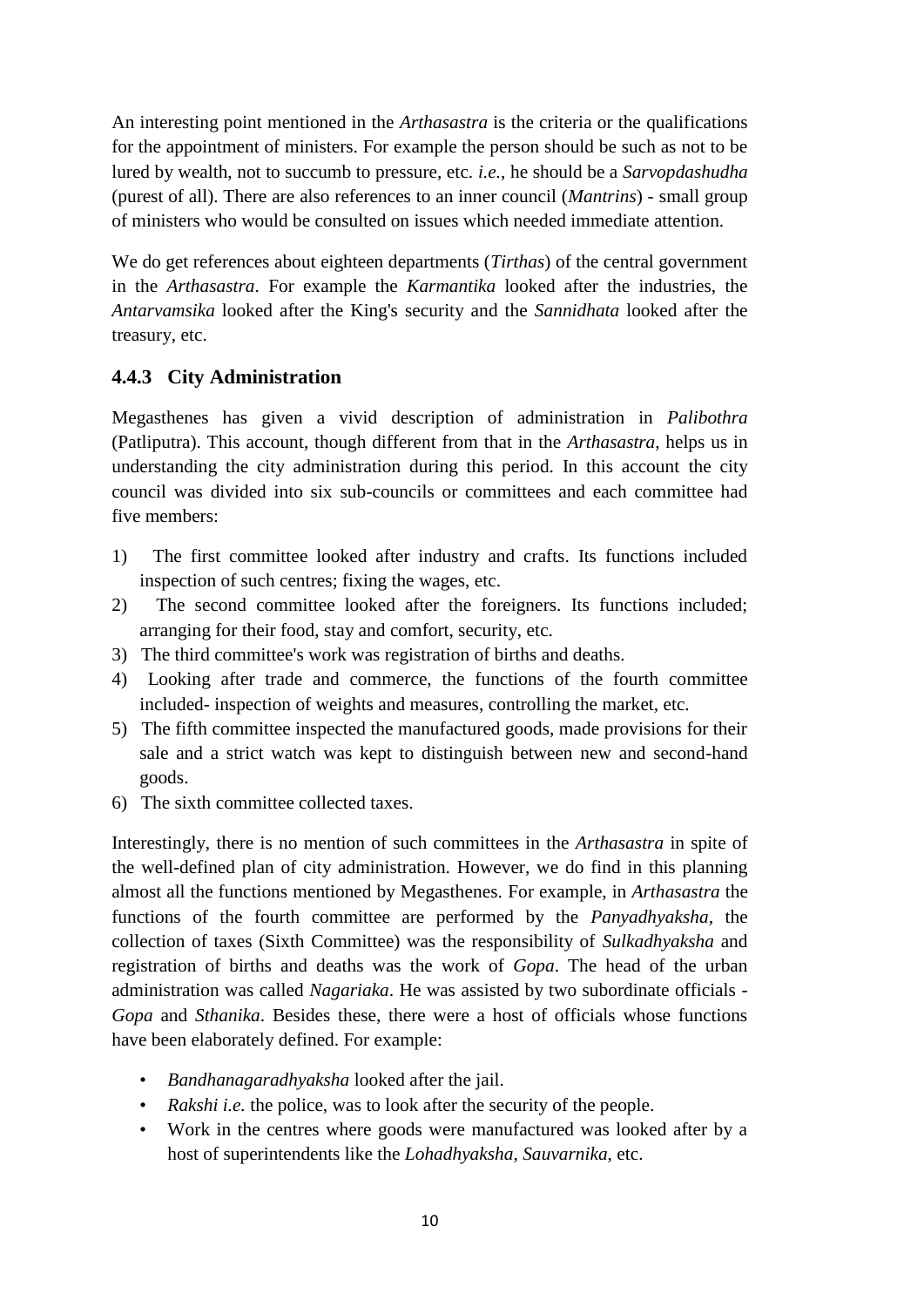variety of periodically exacted taxes. The Satavahanas had crown lands and the revenue from them was substantial. The state enjoyed monopoly over all the mines of metals and minerals and the salt production. The lands held by the *gahapati-s* were subjected to more than one tax. An important source of revenue was the tax levied on merchant *gahapati-s* and merchandises. As it was a money economy, all the dues to the state were appropriated in cash. There seems to have prevailed a high rate of interest, *i.e.*, 12% per month, suggestive of a state of deflation. The variety and distribution of the Satavahana coinage indicates how great was the demand for money as medium of exchange, measure of value and means of payment. The Saka, Kushana, Nahapana Kshatrapa coins co-existed with those of the Satavahanas who struck such coins again as their own. Coins were minted with the name or legend of kings and hence their distribution was symbolic of the king's identity and the extent of his dominions. This accounts for the Satavahanas' reproduction of their intruders' coins, as for example Nahapana's silver coins restruck by Gautamiputra Satakarni.

Under the Satavahana rule, agriculture, trade, markets and urbanisation made headway. Amaravati, Naneghat, Pune, Bhaja, Karle, Kanheri, and Nasik were the major towns and trade centres developed in the age of the Satavahanas. These were centres of Jainism and Buddhism as the vestiges of several *basati-s*, *caitya-s*, *viharas* and *stupa-s* in the region indicate. The funding and joint patronage of these monuments by the monks, merchants, local chieftains and kings shows the group relations and processes of power that manifested as the Satavahana state.

#### **Check Your Progress 2**

1) Analyse the socio-economic and political background which contributed to the rise of Satavahana state.

....................................................................................................................................... ....................................................................................................................................... ....................................................................................................................................... ....................................................................................................................................... ....................................................................................................................................... ....................................................................................................................................... ....................................................................................................................................... ....................................................................................................................................... ....................................................................................................................................... ....................................................................................................................................... 2) Discuss the nature of administration during Satavahana.

........................................................................................................................................ ........................................................................................................................................ ........................................................................................................................................ ........................................................................................................................................ ........................................................................................................................................ ........................................................................................................................................ ........................................................................................................................................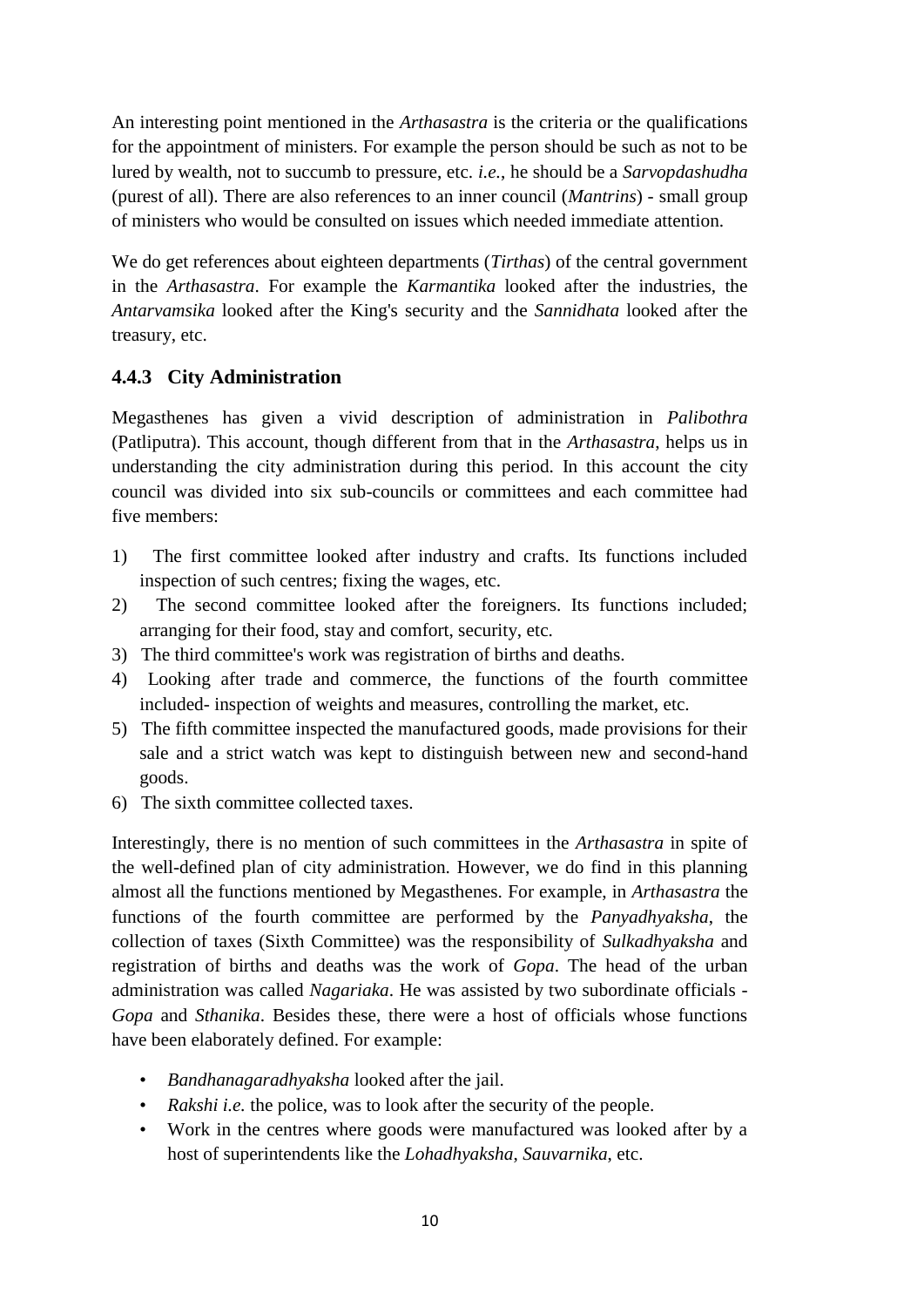# **5.4 LET US SUM UP**

In the post-Mauryan period several powers dominated the political scene in north India. An important feature of this period was the rise of the power of Indo-Greeks, Sakas, Parthians and Kushanas who intruded through the north western frontier into India from central Asia and Iran. The most important among these were the Kushanas. With the establishment of Kushan state trading activities received great impetus. In the social and cultural sphere assismilative and syncretic tendencies emerged and were strengthened. In the Deccan this period was marked by the emergence of the Satavahana state.

........................................................................................................................................ ........................................................................................................................................

# **5.5 KEY WORDS**

| Amatya            | : Minister                                                                                                                                                                     |
|-------------------|--------------------------------------------------------------------------------------------------------------------------------------------------------------------------------|
| Caitya            | : Sacred spots or small groves of trees on the outskirts of a village<br>which might also include a stupa.                                                                     |
| Dandnayaka        | : Captain in the Army. Manu Smriti: Law book of Manu composed<br>in its final form in 2nd and 3rd century A.D.                                                                 |
| <b>Nahapana</b>   | : A great satrap of saka clan (Ksaharata).                                                                                                                                     |
| Prasasti          | : Eulogy                                                                                                                                                                       |
| <b>Santiparva</b> | : 12 <sup>th</sup> book of the Mahabharata which contains passages on state<br>craft and human conduct and was included in the epic in the early<br>centuries of Christian era |
| <b>Seleucids</b>  | : Greek rulers of Bactria who derived their dynastic name from the<br>Greek general of Alexander, Seleucus Nikator.                                                            |
| Senapati          | : General                                                                                                                                                                      |
| <b>Stupa</b>      | : Domes having a central chamber in which the relics of Buddha<br>were placed                                                                                                  |
| Vijigishu         | : King who desires conquest                                                                                                                                                    |
| <b>Vihar</b>      | : A Buddhist monastery                                                                                                                                                         |
| <b>Vishayas</b>   | : Districts                                                                                                                                                                    |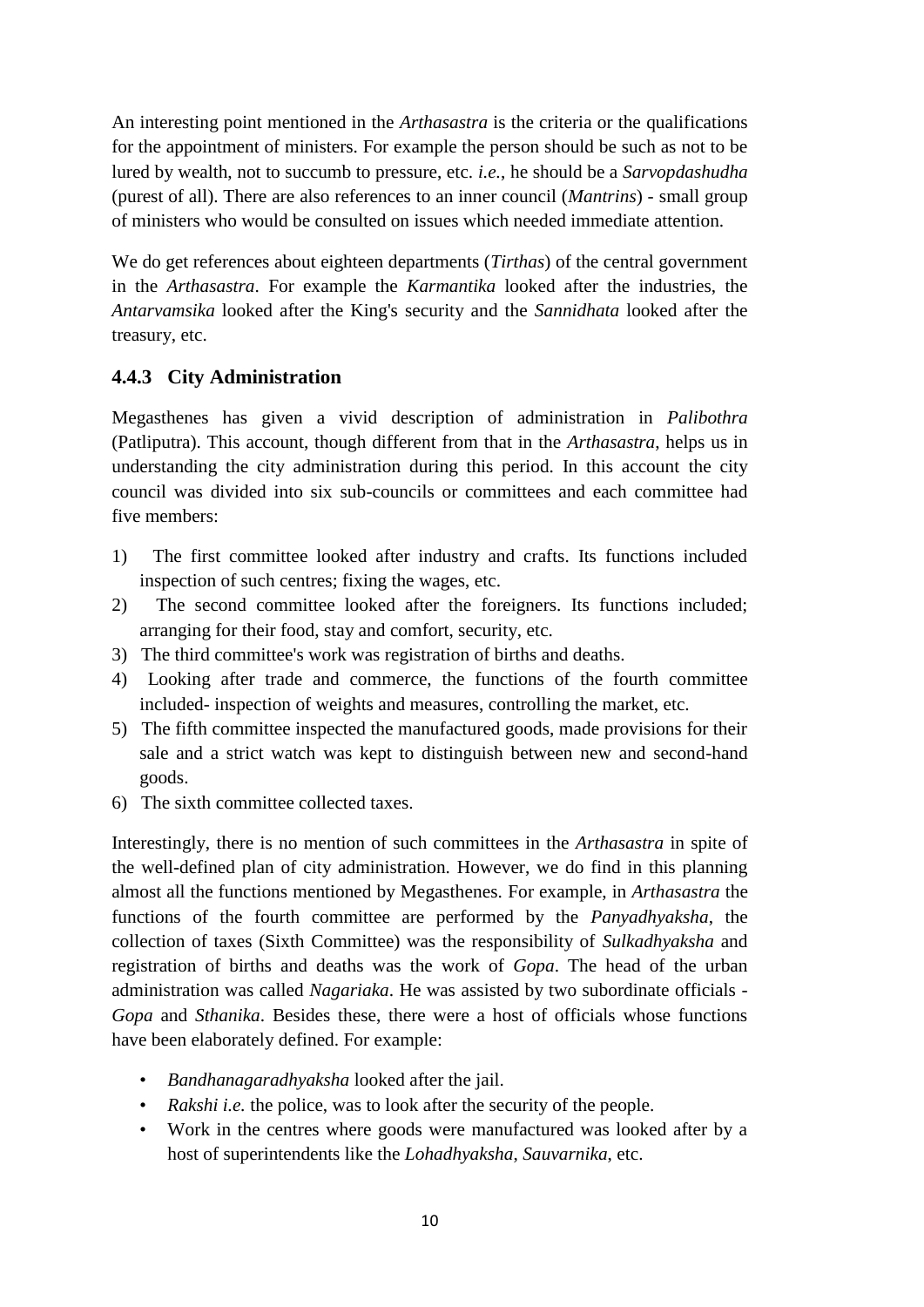### **5.6 ANSWERS TO CHECK YOUR PROGRESS EXERCISES**

#### **Check Your Progress 1**

- 1) i)  $\sqrt{\phantom{0}i}$  ii)  $\times$  iii)  $\sqrt{\phantom{0}i}$  iv)  $\times$  v)  $\times$
- 2) See sec. 5.2
- 3) See Sub-sec. 5.2.1

#### **Check Your Progress 2**

- 1) See Sub-sec. 5.3.1.1
- 2) See Sub-sec. 5.3.1.2

### **SUGGESTED READINGS**

Singh, U., 2009. *A History of Ancient and Early Medieval India – From the Stone Age to the 12th Century*, Delhi: Pearson.

Tripathi, R.S., 1942. *History of Ancient India,* Delhi: Motilal Banarsidas.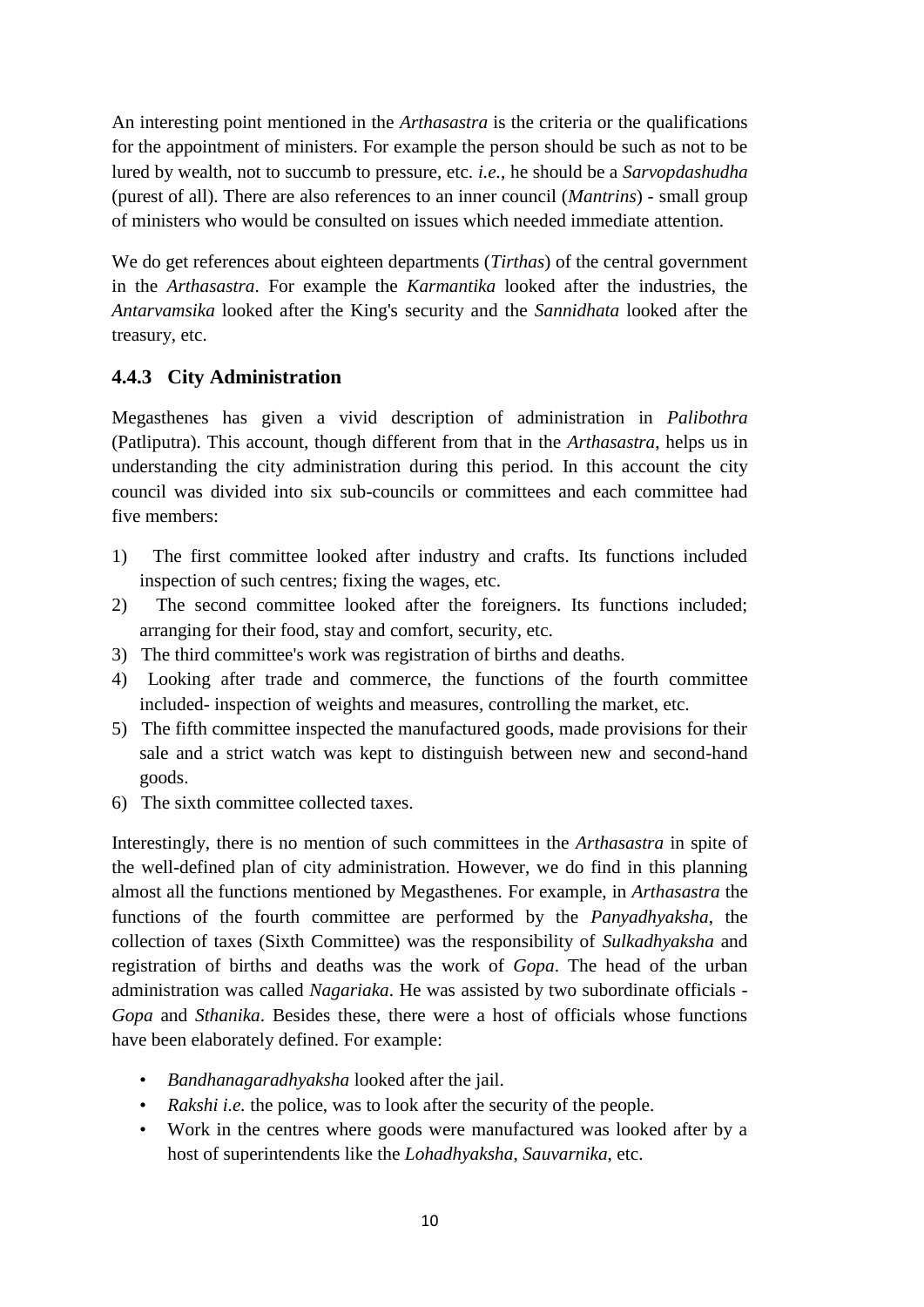# **UNIT 6 : THE CHOLAS**

#### **Structure**

- 6.0 Objectives
- 6.1 Introduction
- 6.2 Sources
- 6.3 Early Cholas
- 6.4 Cholas in Sangam literature
	- 6.4.1 Karikala Chola
	- 6.4.2 Nalankilli and Nedunkilli
	- 6.4.3 Kocengannan
- 6.5 Social conditions
- 6.6 Let Us Sum Up
- 6.7 Key Words
- 6.8 Answers to Check Your Progress Exercises

# **6.0 OBJECTIVES**

After reading this unit you will be able to learn about:

- the origin of early Cholas.
- various early Tamil literatures those are helpful for understanding history of early Cholas
- social condition of early Cholas

# **6.1 INTRODUCTION**

The Cholas of the pre and post Sangam period  $(200 \text{ BCE} - 200 \text{ CE})$  were one of the three main kingdoms of the ancient Tamil country. Their early capitals were Uraiyur and Kaveripattinam. Along with Pandyas and Cheras, Chola history goes back to the period where written records were scarce.

# **6.2 SOURCES**

Ancient Tamil Nadu contained three monarchical states, headed by kings called *Vendhar* and several chieftaincies, headed by the chiefs called by the general denomination *Vel* or *Velir*. Still lower at the local level there were clan chiefs called *kizhar* or *mannar*. The Tamil area had an independent existence outside the control of these northern empires. The Tamil kings and chiefs were always in conflict with each other mostly over property. The royal courts were mostly places of social gathering rather than places of dispensation of authority, they were centres for distribution of resources.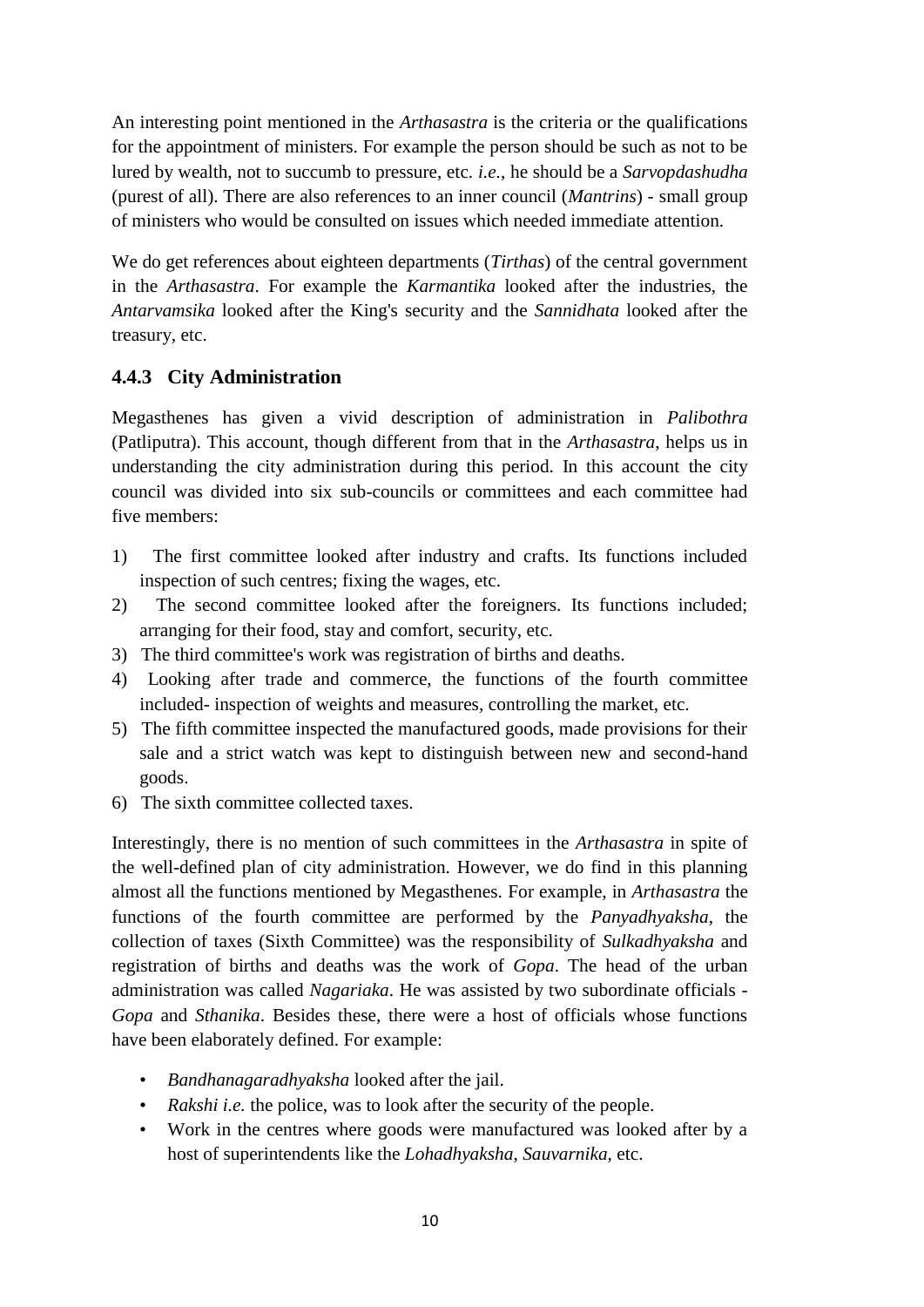The names of the three dynasties, Cholas, Pandyas, and Cheras, are mentioned in the Pillars of Ashoka (273–232 BCE) inscriptions, among the kingdoms, which though not subject to Ashoka, were on friendly terms with him. The king of Kalinga, Kharavela, who ruled around 50-40 BCE, mentioned in the famous Hathigumpha inscription of the confederacy of the Tamil kingdoms that had existed for over 100 years.

Another source for the available information of the early Cholas is the early Tamil literature of the Sangam Period. Karikala Chola was the most famous early Chola. He is mentioned in a number of poems in the Tamil Sangam literature. There are also brief notices on the Chola country and its towns, ports and commerce furnished by the *Periplus of the Erythraean Sea*. *Periplus* is a work by an anonymous Alexandrian merchant, written in the time of Domitian (81–96 CE) and contains precious information of the Chola country. Writing half a century later, the geographer Ptolemy has more to tell us about the Chola country, its port and its inland cities. Mahavamsa, a Buddhist text, also recounts a number of conflicts between the inhabitants of Ceylon and the Tamil immigrants from Chola Country.

Chronicles such as the *Yalpana Vaipava Malai* and stone inscriptions like Konesar Kalvettu recount that Kulakkottan, an early Chola king and descendant of Manu Needhi Cholan, was the restorer of the ruined Koneswaram temple and tank at Trincomalee in 438 CE, the Munneswaram temple of the west coast, and as the royal who settled ancient Vanniar (not to confuse with present day Vanniar or Palli caste).

### **6.3 EARLY CHOLAS**

The inscriptions of the Medieval Cholas are replete with history about the Early Chola kings. The Cholas were looked upon as descended from the sun. These historic incidents speak of the Chola king *Kantaman*, supposed contemporary of the sage Agastya, whose devotion brought the river Kavery into existence. There is also the story of the king Manu who sentenced his son to death for having accidentally killed a calf. Mahavamasa portrays King Elara who was defeated by Duttha Gamini (C. 3rd century BCE) as the just king who had a bell with a rope attached at the head of his bed, so that all who sought redress might ring it. King Sibi who rescued a dove from a hawk by giving his own flesh to the hungry hawk was also part of the early Chola history.

These historic incidents received enormous emphasis in the later Chola period in the long mythical genealogies incorporated into the copper-plate charters of the  $10<sup>th</sup>$  and 11<sup>th</sup> centuries CE. The earliest version of this is found in the Anbil Plates which gives fifteen names before Vijayalaya Chola including the historical ones of Karikala, Perunarkilli and Kocengannan. The Thiruvalangadu Plate swells this list to forty-four, and the Kanyakumari Plate runs up to fifty-two. There are other lists gathered from literary works such as *Kalingathuparani*. No two of these lists agree, although some names and details are common to all.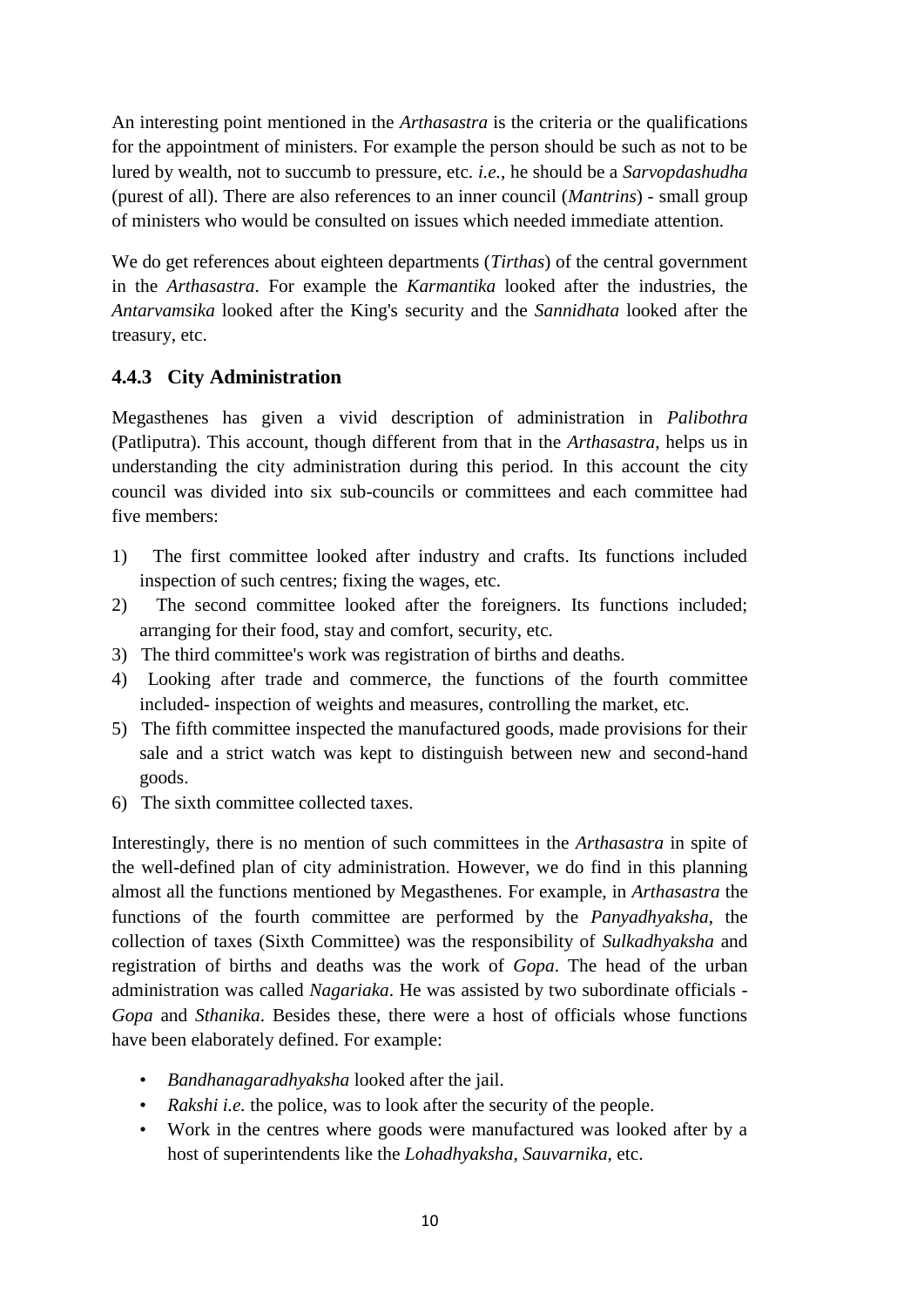## **6.4 CHOLAS IN SANGAM LITERATURE**

The earliest Chola kings of whom we have tangible evidence are those mentioned in the Sangam literature, written in the period 200 BCE–200 CE. Unfortunately, it has not been possible to piece together an internal chronology of the Sangam works. Due to this, we know of several rulers, but not their chronology. All three kings have been portrayed as fighting the war or involved in feeding both the armies at that legendary war.

### **6.4.1 Karikala Chola**

Karikala Chola (C. 90 BCE) stands pre-eminent amongst all those mentioned in *Pattinappaalai*. Karikala's father was Ilamcetcenni, a brave king and a hard fighter. 'Karikala' means 'elephant feller' or 'charred leg', which is assumed to be a reference to an accident by fire which befell the prince early in his life. *Pattinappaalai*  describes this accident and the enterprising way in which the prince escaped and established himself in the Chola throne. *Pattinappalai* is a long poem on the then Chola capital Kaveripattinam. This work also describes the numerous battles Karikala fought against the other two Tamil kings in one of which the Chera king was disgraced (received a wound on his back) and committed suicide. Karikala thus broke the confederacy that was formed against him and established hegemony over Pandyas and Cheras.

In later times Karikala was the subject of many legends found in the *Cilappatikaram*  and in inscriptions and literary works of the  $11<sup>th</sup>$  and  $12<sup>th</sup>$  centuries CE. They attribute to him the conquest of the whole of India up to the Himalayas and the construction of the flood banks, Grand Anicut, of the Kaveri River with the aid of his feudatories. These legends however are conspicuous by their absence in the works of Sangam.

## **6.4.2 Nalankilli and Nedunkilli**

The poet Kovur Kilar mentions a protracted civil war between two Chola chieftains Nalankilli and Nedunkilli. Nedunkilli shut himself in a fort in Avur, which was being besieged by Mavalattan, Nalankilli's younger brother. The poet chided Nedunkilli to come out and fight like a man instead of causing untold misery to the people of the city.

In another poem, the poet begs both the princes to give up the civil war as whoever wins, the loser will be a Chola.

### **6.4.3 Kocengannan**

*Kalavali* by Poygayar mentions the Chola King Kocengannan and his battle with the Chera king Kanaikkal Irumporai. The Chera was taken prisoner and Poygayar, who was a friend of the Chera, sang a poem praising the Chola King Kochchenganan in 40 stanzas. The Chola king, pleased with the work, released the Chera. Kalavali describes the battle fought at Kalumalam, near the Chera capital. Kocengannan is one of the 63 nayanars.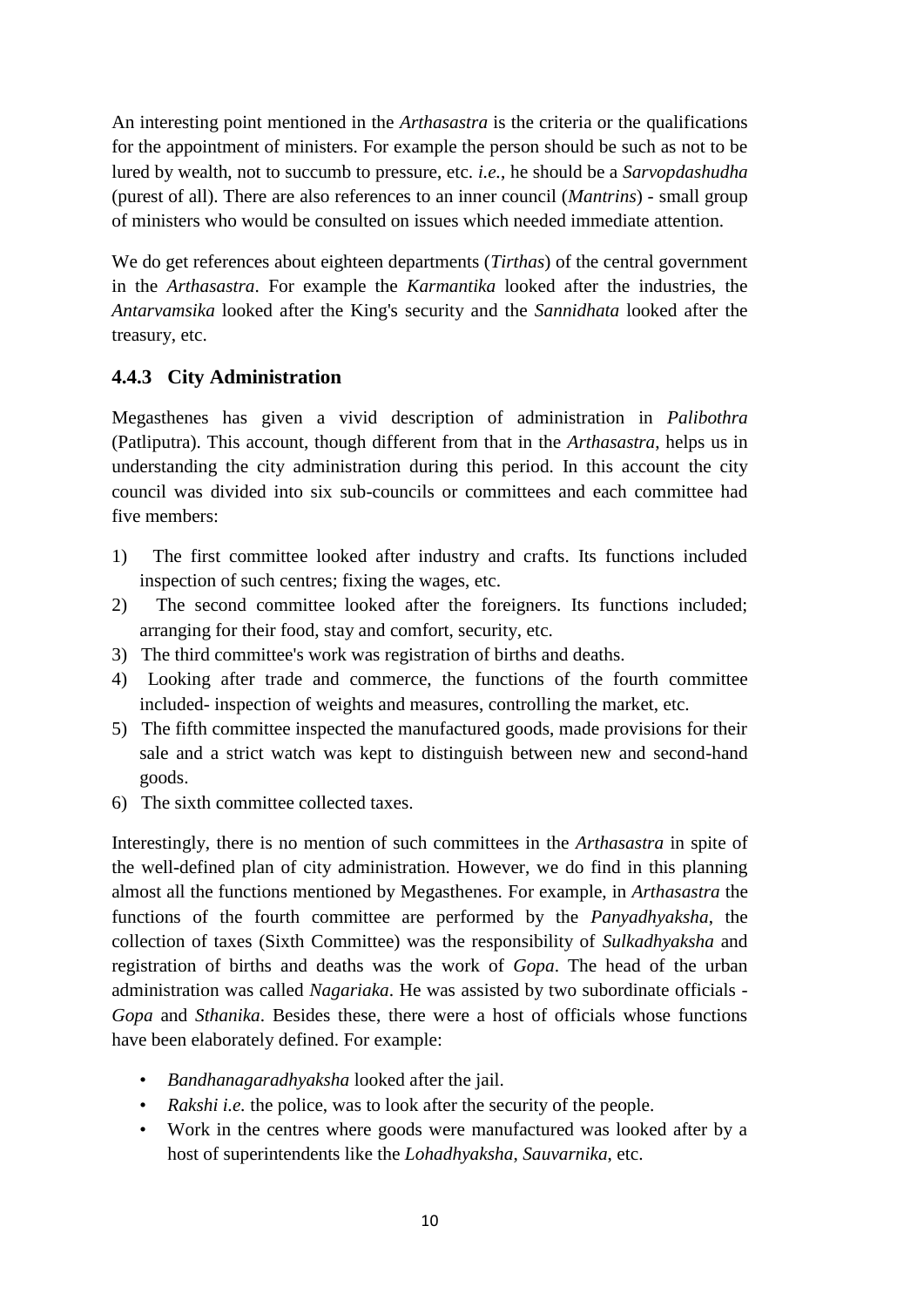Kocengannan became the subject of many instances in later times and is portrayed as a pious Siva devotee who built many fine temples for Siva along the banks of the river Kaveri.

## **6.5 SOCIAL CONDITIONS**

Sangam literature gives an unusually complete and true picture of the social and economic conditions during the early Chola period. The culture is best described as an amalgam of the Dravidian and Aryan. The stories of *Mahabharata* and *Ramayana*  were well known to the Tamil people, shown by the claims of some kings to have fed both the opposing army in the Mahabharata War. The claim that Shibi, who gave his own flesh to save a dove, as a Chola is obviously influenced by northern legends.

The land of the Cholas was fertile and there was ample food. Sangam poems say that the Chola country watered by the river Kaveri in a space in which an elephant could lie, one can produce enough grain to feed seven.

Hereditary monarchy was the prevailing form of government. Disputed succession and civil war was not uncommon. The sphere of the state activity was limited. In a society steeped in respect for custom, even the most perverse dictator could not have done much harm.

The Chola monarchs were approachable by subjects and justice was meted out directly by the king in most occasions. This is in marked contrast to the magnificent empires of the later Cholas where the Emperor was kept much away from contact with the lay people. The kings often took the field in person in battles and if the king was killed or wounded in battle, his army immediately gave up the fight and surrendered.

The trade that flourished between the Chola country and the ancient Roman Empire is given in much detail by *Periplus of the Erythraean Sea* (C. 75 CE).

### **Check Your Progress**

1) Write in about ten lines on sources of early Cholas.

........................................................................................................................................ ........................................................................................................................................ ........................................................................................................................................ ........................................................................................................................................ ........................................................................................................................................ ........................................................................................................................................ ........................................................................................................................................ ........................................................................................................................................ ........................................................................................................................................ ........................................................................................................................................ 2) Discuss about the early Chola rulers. Answer in ten line.

........................................................................................................................................ ........................................................................................................................................